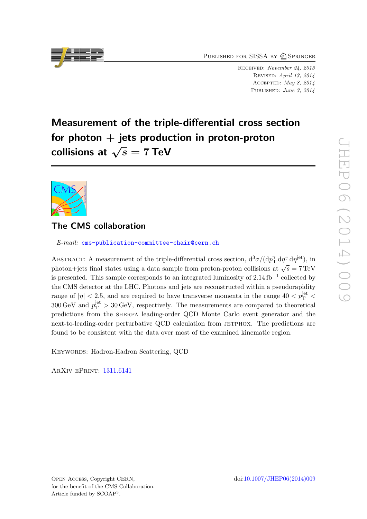PUBLISHED FOR SISSA BY 2 SPRINGER

Received: November 24, 2013 Revised: April 13, 2014 Accepted: May 8, 2014 PUBLISHED: June 3, 2014

# Measurement of the triple-differential cross section for photon  $+$  jets production in proton-proton collisions at  $\sqrt{s} = 7$  TeV



# The CMS collaboration

E-mail: [cms-publication-committee-chair@cern.ch](mailto:cms-publication-committee-chair@cern.ch)

ABSTRACT: A measurement of the triple-differential cross section,  $d^3\sigma/(dp_T^2)$  $\int_{T}^{\gamma} d\eta^{\gamma} d\eta^{jet}$ ), in photon+jets final states using a data sample from proton-proton collisions at  $\sqrt{s} = 7 \text{ TeV}$ is presented. This sample corresponds to an integrated luminosity of  $2.14 \text{ fb}^{-1}$  collected by the CMS detector at the LHC. Photons and jets are reconstructed within a pseudorapidity range of  $|\eta|$  < 2.5, and are required to have transverse momenta in the range 40 <  $p_T^{\rm jet}$  <  $300 \,\text{GeV}$  and  $p_{\text{T}}^{\text{jet}} > 30 \,\text{GeV}$ , respectively. The measurements are compared to theoretical predictions from the sherpa leading-order QCD Monte Carlo event generator and the next-to-leading-order perturbative QCD calculation from JETPHOX. The predictions are found to be consistent with the data over most of the examined kinematic region.

KEYWORDS: Hadron-Hadron Scattering, QCD

ArXiv ePrint: [1311.6141](http://arxiv.org/abs/1311.6141)

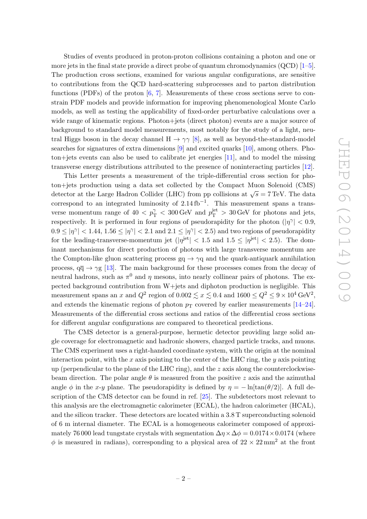Studies of events produced in proton-proton collisions containing a photon and one or more jets in the final state provide a direct probe of quantum chromodynamics  $(QCD)$  [\[1](#page-14-0)[–5\]](#page-14-1). The production cross sections, examined for various angular configurations, are sensitive to contributions from the QCD hard-scattering subprocesses and to parton distribution functions (PDFs) of the proton [\[6,](#page-14-2) [7\]](#page-14-3). Measurements of these cross sections serve to constrain PDF models and provide information for improving phenomenological Monte Carlo models, as well as testing the applicability of fixed-order perturbative calculations over a wide range of kinematic regions. Photon+jets (direct photon) events are a major source of background to standard model measurements, most notably for the study of a light, neutral Higgs boson in the decay channel  $H \rightarrow \gamma \gamma$  [\[8\]](#page-14-4), as well as beyond-the-standard-model searches for signatures of extra dimensions [\[9\]](#page-15-0) and excited quarks [\[10\]](#page-15-1), among others. Photon+jets events can also be used to calibrate jet energies [\[11\]](#page-15-2), and to model the missing transverse energy distributions attributed to the presence of noninteracting particles [\[12\]](#page-15-3).

This Letter presents a measurement of the triple-differential cross section for photon+jets production using a data set collected by the Compact Muon Solenoid (CMS) detector at the Large Hadron Collider (LHC) from pp collisions at  $\sqrt{s} = 7$  TeV. The data detector at the Large Hadron Collider (LHC) from pp collisions at  $\sqrt{s} = 7$  TeV. correspond to an integrated luminosity of  $2.14 \text{ fb}^{-1}$ . This measurement spans a transverse momentum range of  $40 < p_{\rm T}^{\gamma} < 300 \,\text{GeV}$  and  $p_{\rm T}^{\rm jet} > 30 \,\text{GeV}$  for photons and jets, respectively. It is performed in four regions of pseudorapidity for the photon  $(|\eta^{\gamma}| < 0.9$ ,  $0.9 \le |\eta^{\gamma}| < 1.44, 1.56 \le |\eta^{\gamma}| < 2.1$  and  $2.1 \le |\eta^{\gamma}| < 2.5$ ) and two regions of pseudorapidity for the leading-transverse-momentum jet  $(|\eta^{\text{jet}}| < 1.5$  and  $1.5 \leq |\eta^{\text{jet}}| < 2.5$ ). The dominant mechanisms for direct production of photons with large transverse momentum are the Compton-like gluon scattering process  $q\rightarrow \gamma q$  and the quark-antiquark annihilation process,  $q\bar{q} \rightarrow \gamma g$  [\[13\]](#page-15-4). The main background for these processes comes from the decay of neutral hadrons, such as  $\pi^0$  and  $\eta$  mesons, into nearly collinear pairs of photons. The expected background contribution from W+jets and diphoton production is negligible. This measurement spans an x and  $Q^2$  region of  $0.002 \lesssim x \lesssim 0.4$  and  $1600 \leq Q^2 \leq 9 \times 10^4$  GeV<sup>2</sup>, and extends the kinematic regions of photon  $p_T$  covered by earlier measurements [\[14–](#page-15-5)[24\]](#page-15-6). Measurements of the differential cross sections and ratios of the differential cross sections for different angular configurations are compared to theoretical predictions.

The CMS detector is a general-purpose, hermetic detector providing large solid angle coverage for electromagnetic and hadronic showers, charged particle tracks, and muons. The CMS experiment uses a right-handed coordinate system, with the origin at the nominal interaction point, with the x axis pointing to the center of the LHC ring, the y axis pointing up (perpendicular to the plane of the LHC ring), and the z axis along the counterclockwisebeam direction. The polar angle  $\theta$  is measured from the positive z axis and the azimuthal angle  $\phi$  in the x-y plane. The pseudorapidity is defined by  $\eta = -\ln[\tan(\theta/2)]$ . A full description of the CMS detector can be found in ref. [\[25\]](#page-15-7). The subdetectors most relevant to this analysis are the electromagnetic calorimeter (ECAL), the hadron calorimeter (HCAL), and the silicon tracker. These detectors are located within a 3.8 T superconducting solenoid of 6 m internal diameter. The ECAL is a homogeneous calorimeter composed of approximately 76 000 lead tungstate crystals with segmentation  $\Delta \eta \times \Delta \phi = 0.0174 \times 0.0174$  (where  $\phi$  is measured in radians), corresponding to a physical area of  $22 \times 22 \text{ mm}^2$  at the front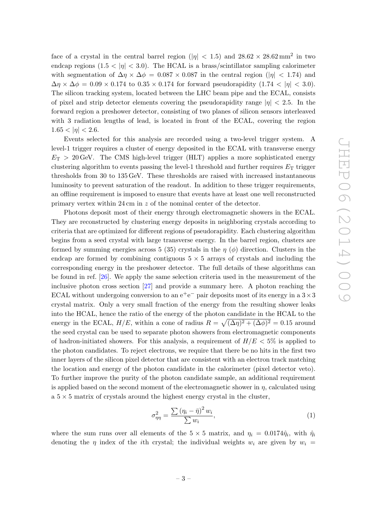face of a crystal in the central barrel region ( $|\eta|$  < 1.5) and  $28.62 \times 28.62 \text{ mm}^2$  in two endcap regions  $(1.5 < |\eta| < 3.0)$ . The HCAL is a brass/scintillator sampling calorimeter with segmentation of  $\Delta \eta \times \Delta \phi = 0.087 \times 0.087$  in the central region (| $\eta$ | < 1.74) and  $\Delta \eta \times \Delta \phi = 0.09 \times 0.174$  to  $0.35 \times 0.174$  for forward pseudorapidity  $(1.74 < |\eta| < 3.0)$ . The silicon tracking system, located between the LHC beam pipe and the ECAL, consists of pixel and strip detector elements covering the pseudorapidity range  $|\eta| < 2.5$ . In the forward region a preshower detector, consisting of two planes of silicon sensors interleaved with 3 radiation lengths of lead, is located in front of the ECAL, covering the region  $1.65 < |\eta| < 2.6$ .

Events selected for this analysis are recorded using a two-level trigger system. A level-1 trigger requires a cluster of energy deposited in the ECAL with transverse energy  $E_T > 20$  GeV. The CMS high-level trigger (HLT) applies a more sophisticated energy clustering algorithm to events passing the level-1 threshold and further requires  $E_T$  trigger thresholds from 30 to 135 GeV. These thresholds are raised with increased instantaneous luminosity to prevent saturation of the readout. In addition to these trigger requirements, an offline requirement is imposed to ensure that events have at least one well reconstructed primary vertex within 24 cm in z of the nominal center of the detector.

Photons deposit most of their energy through electromagnetic showers in the ECAL. They are reconstructed by clustering energy deposits in neighboring crystals according to criteria that are optimized for different regions of pseudorapidity. Each clustering algorithm begins from a seed crystal with large transverse energy. In the barrel region, clusters are formed by summing energies across 5 (35) crystals in the  $\eta$  ( $\phi$ ) direction. Clusters in the endcap are formed by combining contiguous  $5 \times 5$  arrays of crystals and including the corresponding energy in the preshower detector. The full details of these algorithms can be found in ref. [\[26\]](#page-16-0). We apply the same selection criteria used in the measurement of the inclusive photon cross section [\[27\]](#page-16-1) and provide a summary here. A photon reaching the ECAL without undergoing conversion to an  $e^+e^-$  pair deposits most of its energy in a  $3 \times 3$ crystal matrix. Only a very small fraction of the energy from the resulting shower leaks into the HCAL, hence the ratio of the energy of the photon candidate in the HCAL to the energy in the ECAL,  $H/E$ , within a cone of radius  $R = \sqrt{(\Delta \eta)^2 + (\Delta \phi)^2} = 0.15$  around the seed crystal can be used to separate photon showers from electromagnetic components of hadron-initiated showers. For this analysis, a requirement of  $H/E < 5\%$  is applied to the photon candidates. To reject electrons, we require that there be no hits in the first two inner layers of the silicon pixel detector that are consistent with an electron track matching the location and energy of the photon candidate in the calorimeter (pixel detector veto). To further improve the purity of the photon candidate sample, an additional requirement is applied based on the second moment of the electromagnetic shower in  $\eta$ , calculated using  $a \ 5 \times 5$  matrix of crystals around the highest energy crystal in the cluster,

$$
\sigma_{\eta\eta}^2 = \frac{\sum (\eta_i - \bar{\eta})^2 w_i}{\sum w_i},\tag{1}
$$

where the sum runs over all elements of the  $5 \times 5$  matrix, and  $\eta_i = 0.0174\hat{\eta}_i$ , with  $\hat{\eta}_i$ denoting the  $\eta$  index of the *i*th crystal; the individual weights  $w_i$  are given by  $w_i =$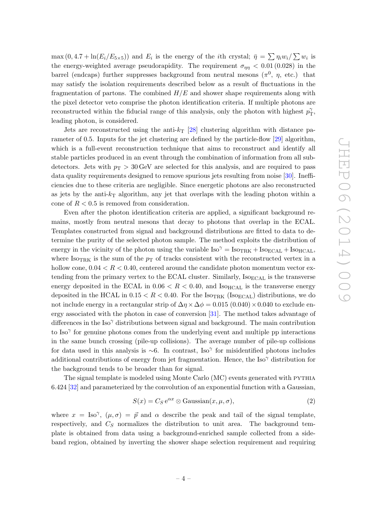$\max(0, 4.7 + \ln(E_i/E_{5\times5}))$  and  $E_i$  is the energy of the *i*th crystal;  $\bar{\eta} = \sum \eta_i w_i / \sum w_i$  is the energy-weighted average pseudorapidity. The requirement  $\sigma_{nn} < 0.01 (0.028)$  in the barrel (endcaps) further suppresses background from neutral mesons  $(\pi^0, \eta, \text{ etc.})$  that may satisfy the isolation requirements described below as a result of fluctuations in the fragmentation of partons. The combined  $H/E$  and shower shape requirements along with the pixel detector veto comprise the photon identification criteria. If multiple photons are reconstructed within the fiducial range of this analysis, only the photon with highest  $p_{\rm T}^{\gamma}$  $\frac{\gamma}{\rm T},$ leading photon, is considered.

Jets are reconstructed using the anti- $k_T$  [\[28\]](#page-16-2) clustering algorithm with distance pa-rameter of 0.5. Inputs for the jet clustering are defined by the particle-flow [\[29\]](#page-16-3) algorithm, which is a full-event reconstruction technique that aims to reconstruct and identify all stable particles produced in an event through the combination of information from all subdetectors. Jets with  $p_T > 30$  GeV are selected for this analysis, and are required to pass data quality requirements designed to remove spurious jets resulting from noise [\[30\]](#page-16-4). Inefficiencies due to these criteria are negligible. Since energetic photons are also reconstructed as jets by the anti- $k<sub>T</sub>$  algorithm, any jet that overlaps with the leading photon within a cone of  $R < 0.5$  is removed from consideration.

Even after the photon identification criteria are applied, a significant background remains, mostly from neutral mesons that decay to photons that overlap in the ECAL. Templates constructed from signal and background distributions are fitted to data to determine the purity of the selected photon sample. The method exploits the distribution of energy in the vicinity of the photon using the variable  $\text{Iso}^{\gamma} = \text{Iso}_{\text{TRK}} + \text{Iso}_{\text{ECAL}} + \text{Iso}_{\text{HCAL}}$ , where Iso $_{\text{TRK}}$  is the sum of the  $p_{\text{T}}$  of tracks consistent with the reconstructed vertex in a hollow cone,  $0.04 < R < 0.40$ , centered around the candidate photon momentum vector extending from the primary vertex to the ECAL cluster. Similarly,  $I_{\text{S0ECAL}}$  is the transverse energy deposited in the ECAL in  $0.06 < R < 0.40$ , and Iso<sub>HCAL</sub> is the transverse energy deposited in the HCAL in  $0.15 < R < 0.40$ . For the Iso<sub>TRK</sub> (Iso<sub>ECAL</sub>) distributions, we do not include energy in a rectangular strip of  $\Delta \eta \times \Delta \phi = 0.015$  (0.040) × 0.040 to exclude energy associated with the photon in case of conversion [\[31\]](#page-16-5). The method takes advantage of differences in the Iso<sup> $\gamma$ </sup> distributions between signal and background. The main contribution to Iso<sup> $\gamma$ </sup> for genuine photons comes from the underlying event and multiple pp interactions in the same bunch crossing (pile-up collisions). The average number of pile-up collisions for data used in this analysis is  $\sim$ 6. In contrast, Iso<sup>γ</sup> for misidentified photons includes additional contributions of energy from jet fragmentation. Hence, the Iso<sup> $\gamma$ </sup> distribution for the background tends to be broader than for signal.

The signal template is modeled using Monte Carlo (MC) events generated with pythia 6.424 [\[32\]](#page-16-6) and parameterized by the convolution of an exponential function with a Gaussian,

$$
S(x) = C_S e^{\alpha x} \otimes \text{Gaussian}(x, \mu, \sigma), \tag{2}
$$

where  $x = \text{Iso}^{\gamma}$ ,  $(\mu, \sigma) = \vec{p}$  and  $\alpha$  describe the peak and tail of the signal template, respectively, and  $C<sub>S</sub>$  normalizes the distribution to unit area. The background template is obtained from data using a background-enriched sample collected from a sideband region, obtained by inverting the shower shape selection requirement and requiring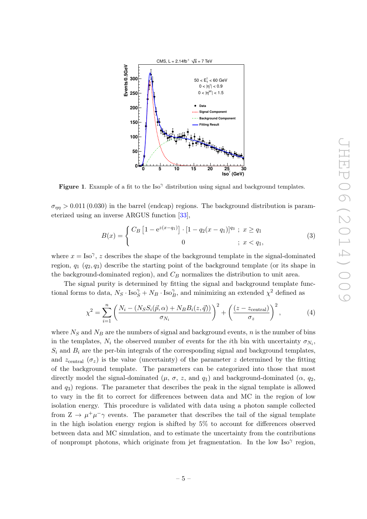

<span id="page-4-0"></span>Figure 1. Example of a fit to the Iso<sup> $\gamma$ </sup> distribution using signal and background templates.

 $\sigma_{\eta\eta} > 0.011(0.030)$  in the barrel (endcap) regions. The background distribution is parameterized using an inverse ARGUS function [\[33\]](#page-16-7),

$$
B(x) = \begin{cases} C_B \left[ 1 - e^{z(x-q_1)} \right] \cdot [1 - q_2(x-q_1)]^{q_3} \; ; \; x \ge q_1 \\ 0 \qquad & \; ; \; x < q_1, \end{cases} \tag{3}
$$

where  $x = \text{Iso}^{\gamma}$ , z describes the shape of the background template in the signal-dominated region,  $q_1$  ( $q_2$ ,  $q_3$ ) describe the starting point of the background template (or its shape in the background-dominated region), and  $C_B$  normalizes the distribution to unit area.

The signal purity is determined by fitting the signal and background template functional forms to data,  $N_S \cdot \text{Iso}_S^{\gamma} + N_B \cdot \text{Iso}_B^{\gamma}$ , and minimizing an extended  $\chi^2$  defined as

$$
\chi^2 = \sum_{i=1}^n \left( \frac{N_i - (N_S S_i(\vec{p}, \alpha) + N_B B_i(z, \vec{q}))}{\sigma_{N_i}} \right)^2 + \left( \frac{(z - z_{\text{central}})}{\sigma_z} \right)^2, \tag{4}
$$

where  $N<sub>S</sub>$  and  $N<sub>B</sub>$  are the numbers of signal and background events, n is the number of bins in the templates,  $N_i$  the observed number of events for the *i*th bin with uncertainty  $\sigma_{N_i}$ ,  $S_i$  and  $B_i$  are the per-bin integrals of the corresponding signal and background templates, and  $z_{\text{central}}(\sigma_z)$  is the value (uncertainty) of the parameter z determined by the fitting of the background template. The parameters can be categorized into those that most directly model the signal-dominated ( $\mu$ ,  $\sigma$ , z, and  $q_1$ ) and background-dominated ( $\alpha$ ,  $q_2$ , and  $q_3$ ) regions. The parameter that describes the peak in the signal template is allowed to vary in the fit to correct for differences between data and MC in the region of low isolation energy. This procedure is validated with data using a photon sample collected from  $Z \to \mu^+ \mu^- \gamma$  events. The parameter that describes the tail of the signal template in the high isolation energy region is shifted by 5% to account for differences observed between data and MC simulation, and to estimate the uncertainty from the contributions of nonprompt photons, which originate from jet fragmentation. In the low Iso<sup> $\gamma$ </sup> region,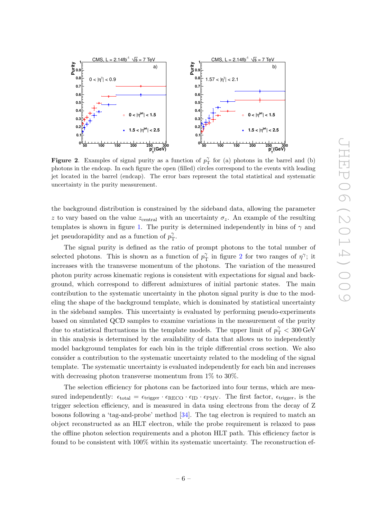

<span id="page-5-0"></span>**Figure 2.** Examples of signal purity as a function of  $p_T^{\gamma}$  for (a) photons in the barrel and (b) photons in the endcap. In each figure the open (filled) circles correspond to the events with leading jet located in the barrel (endcap). The error bars represent the total statistical and systematic uncertainty in the purity measurement.

the background distribution is constrained by the sideband data, allowing the parameter z to vary based on the value  $z_{\text{central}}$  with an uncertainty  $\sigma_z$ . An example of the resulting templates is shown in figure [1.](#page-4-0) The purity is determined independently in bins of  $\gamma$  and jet pseudorapidity and as a function of  $p_{\rm T}^{\gamma}$  $_{\rm T}^{\gamma}.$ 

The signal purity is defined as the ratio of prompt photons to the total number of selected photons. This is shown as a function of  $p_{\rm T}^2$  $\gamma_{\rm T}^{\gamma}$  in figure [2](#page-5-0) for two ranges of  $\eta^{\gamma}$ ; it increases with the transverse momentum of the photons. The variation of the measured photon purity across kinematic regions is consistent with expectations for signal and background, which correspond to different admixtures of initial partonic states. The main contribution to the systematic uncertainty in the photon signal purity is due to the modeling the shape of the background template, which is dominated by statistical uncertainty in the sideband samples. This uncertainty is evaluated by performing pseudo-experiments based on simulated QCD samples to examine variations in the measurement of the purity due to statistical fluctuations in the template models. The upper limit of  $p_T^{\gamma} < 300 \,\text{GeV}$ in this analysis is determined by the availability of data that allows us to independently model background templates for each bin in the triple differential cross section. We also consider a contribution to the systematic uncertainty related to the modeling of the signal template. The systematic uncertainty is evaluated independently for each bin and increases with decreasing photon transverse momentum from  $1\%$  to  $30\%$ .

The selection efficiency for photons can be factorized into four terms, which are measured independently:  $\epsilon_{\text{total}} = \epsilon_{\text{trigger}} \cdot \epsilon_{\text{RECO}} \cdot \epsilon_{\text{ID}} \cdot \epsilon_{\text{PMV}}$ . The first factor,  $\epsilon_{\text{trigger}}$ , is the trigger selection efficiency, and is measured in data using electrons from the decay of Z bosons following a 'tag-and-probe' method [\[34\]](#page-16-8). The tag electron is required to match an object reconstructed as an HLT electron, while the probe requirement is relaxed to pass the offline photon selection requirements and a photon HLT path. This efficiency factor is found to be consistent with 100% within its systematic uncertainty. The reconstruction ef-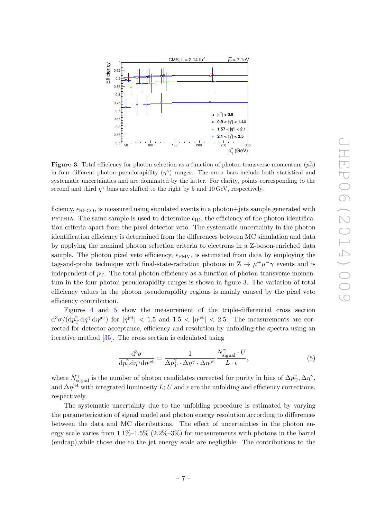

<span id="page-6-0"></span>**Figure 3**. Total efficiency for photon selection as a function of photon transverse momentum  $(p_T^{\gamma})$ in four different photon pseudorapidity  $(\eta^{\gamma})$  ranges. The error bars include both statistical and systematic uncertainties and are dominated by the latter. For clarity, points corresponding to the second and third  $\eta^{\gamma}$  bins are shifted to the right by 5 and 10 GeV, respectively.

ficiency,  $\epsilon_{\text{RECO}}$ , is measured using simulated events in a photon+jets sample generated with PYTHIA. The same sample is used to determine  $\epsilon_{ID}$ , the efficiency of the photon identification criteria apart from the pixel detector veto. The systematic uncertainty in the photon identification efficiency is determined from the differences between MC simulation and data by applying the nominal photon selection criteria to electrons in a Z-boson-enriched data sample. The photon pixel veto efficiency,  $\epsilon_{\text{PMV}}$ , is estimated from data by employing the tag-and-probe technique with final-state-radiation photons in  $Z \to \mu^+ \mu^- \gamma$  events and is independent of  $p<sub>T</sub>$ . The total photon efficiency as a function of photon transverse momentum in the four photon pseudorapidity ranges is shown in figure [3.](#page-6-0) The variation of total efficiency values in the photon pseudorapidity regions is mainly caused by the pixel veto efficiency contribution.

Figures [4](#page-7-0) and [5](#page-8-0) show the measurement of the triple-differential cross section  $d^3\sigma/(dp_T^{\gamma})$  $\frac{\gamma}{\rm T} d\eta^{\gamma} d\eta^{\rm jet}$ ) for  $|\eta^{\rm jet}| < 1.5$  and  $1.5 < |\eta^{\rm jet}| < 2.5$ . The measurements are corrected for detector acceptance, efficiency and resolution by unfolding the spectra using an iterative method [\[35\]](#page-16-9). The cross section is calculated using

$$
\frac{\mathrm{d}^3 \sigma}{\mathrm{d} p_{\mathrm{T}}^{\gamma} \mathrm{d} \eta^{\gamma} \mathrm{d} \eta^{\mathrm{jet}}} = \frac{1}{\Delta p_{\mathrm{T}}^{\gamma} \cdot \Delta \eta^{\gamma} \cdot \Delta \eta^{\mathrm{jet}}} \frac{N_{\mathrm{signal}}^{\gamma} \cdot U}{L \cdot \epsilon},\tag{5}
$$

where  $N^{\gamma}_{\text{signal}}$  is the number of photon candidates corrected for purity in bins of  $\Delta p_{\text{I}}^{\gamma}$  $\eta_{\rm T}^{\gamma}, \Delta \eta^{\gamma},$ and  $\Delta \eta^{\rm jet}$  with integrated luminosity L; U and  $\epsilon$  are the unfolding and efficiency corrections, respectively.

The systematic uncertainty due to the unfolding procedure is estimated by varying the parameterization of signal model and photon energy resolution according to differences between the data and MC distributions. The effect of uncertainties in the photon energy scale varies from  $1.1\%$ – $1.5\%$  ( $2.2\%$ – $3\%$ ) for measurements with photons in the barrel (endcap),while those due to the jet energy scale are negligible. The contributions to the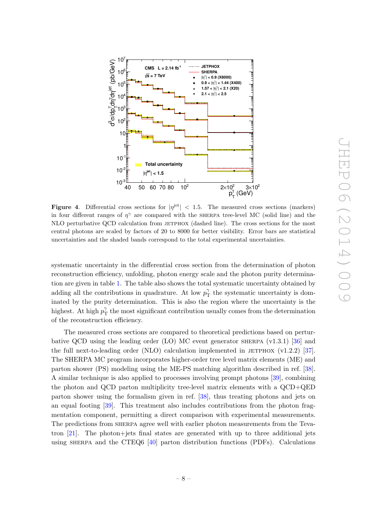

<span id="page-7-0"></span>Figure 4. Differential cross sections for  $|\eta^{\rm jet}| < 1.5$ . The measured cross sections (markers) in four different ranges of  $\eta^{\gamma}$  are compared with the SHERPA tree-level MC (solid line) and the NLO perturbative QCD calculation from JETPHOX (dashed line). The cross sections for the most central photons are scaled by factors of 20 to 8000 for better visibility. Error bars are statistical uncertainties and the shaded bands correspond to the total experimental uncertainties.

systematic uncertainty in the differential cross section from the determination of photon reconstruction efficiency, unfolding, photon energy scale and the photon purity determination are given in table [1.](#page-9-0) The table also shows the total systematic uncertainty obtained by adding all the contributions in quadrature. At low  $p_{\rm T}^2$  $\gamma$ <sup> $\gamma$ </sup> the systematic uncertainty is dominated by the purity determination. This is also the region where the uncertainty is the highest. At high  $p_{\text{T}}^{\gamma}$  $T_{\text{T}}^{\gamma}$  the most significant contribution usually comes from the determination of the reconstruction efficiency.

The measured cross sections are compared to theoretical predictions based on perturbative QCD using the leading order (LO) MC event generator SHERPA  $(v1.3.1)$  [\[36\]](#page-16-10) and the full next-to-leading order (NLO) calculation implemented in JETPHOX  $(v1.2.2)$  [\[37\]](#page-16-11). The SHERPA MC program incorporates higher-order tree level matrix elements (ME) and parton shower (PS) modeling using the ME-PS matching algorithm described in ref. [\[38\]](#page-16-12). A similar technique is also applied to processes involving prompt photons [\[39\]](#page-16-13), combining the photon and QCD parton multiplicity tree-level matrix elements with a QCD+QED parton shower using the formalism given in ref. [\[38\]](#page-16-12), thus treating photons and jets on an equal footing [\[39\]](#page-16-13). This treatment also includes contributions from the photon fragmentation component, permitting a direct comparison with experimental measurements. The predictions from sherpa agree well with earlier photon measurements from the Tevatron [\[21\]](#page-15-8). The photon+jets final states are generated with up to three additional jets using sherpa and the CTEQ6 [\[40\]](#page-16-14) parton distribution functions (PDFs). Calculations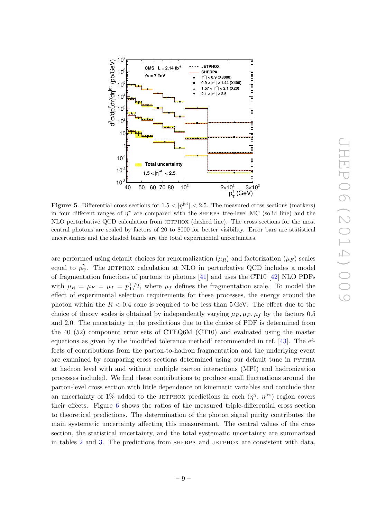

<span id="page-8-0"></span>Figure 5. Differential cross sections for  $1.5 < |\eta^{\rm jet}| < 2.5$ . The measured cross sections (markers) in four different ranges of  $\eta^{\gamma}$  are compared with the SHERPA tree-level MC (solid line) and the NLO perturbative QCD calculation from JETPHOX (dashed line). The cross sections for the most central photons are scaled by factors of 20 to 8000 for better visibility. Error bars are statistical uncertainties and the shaded bands are the total experimental uncertainties.

are performed using default choices for renormalization  $(\mu_R)$  and factorization  $(\mu_F)$  scales equal to  $p_{\rm T}^{\gamma}$  $T_{\rm T}$ . The JETPHOX calculation at NLO in perturbative QCD includes a model of fragmentation functions of partons to photons [\[41\]](#page-16-15) and uses the CT10 [\[42\]](#page-16-16) NLO PDFs with  $\mu_R = \mu_F = \mu_f = p_\text{T}^{\gamma}$  $T_T^{\gamma}/2$ , where  $\mu_f$  defines the fragmentation scale. To model the effect of experimental selection requirements for these processes, the energy around the photon within the  $R < 0.4$  cone is required to be less than  $5 \,\text{GeV}$ . The effect due to the choice of theory scales is obtained by independently varying  $\mu_R, \mu_F, \mu_f$  by the factors 0.5 and 2.0. The uncertainty in the predictions due to the choice of PDF is determined from the 40 (52) component error sets of CTEQ6M (CT10) and evaluated using the master equations as given by the 'modified tolerance method' recommended in ref. [\[43\]](#page-16-17). The effects of contributions from the parton-to-hadron fragmentation and the underlying event are examined by comparing cross sections determined using our default tune in pythia at hadron level with and without multiple parton interactions (MPI) and hadronization processes included. We find these contributions to produce small fluctuations around the parton-level cross section with little dependence on kinematic variables and conclude that an uncertainty of 1% added to the JETPHOX predictions in each  $(\eta^{\gamma}, \eta^{\text{jet}})$  region covers their effects. Figure [6](#page-10-0) shows the ratios of the measured triple-differential cross section to theoretical predictions. The determination of the photon signal purity contributes the main systematic uncertainty affecting this measurement. The central values of the cross section, the statistical uncertainty, and the total systematic uncertainty are summarized in tables  $2$  and  $3$ . The predictions from SHERPA and JETPHOX are consistent with data,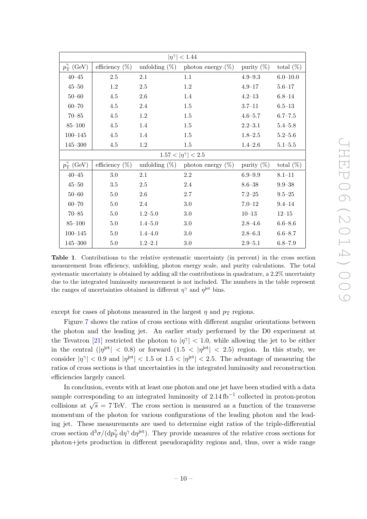| $ \eta^{\gamma}  < 1.44$       |                   |                  |                                       |               |                   |  |  |  |
|--------------------------------|-------------------|------------------|---------------------------------------|---------------|-------------------|--|--|--|
| $p_T^{\gamma}$ (GeV)           | efficiency $(\%)$ | unfolding $(\%)$ | photon energy $(\%)$                  | purity $(\%)$ | total $(\%)$      |  |  |  |
| $40 - 45$                      | 2.5               | 2.1              | 1.1                                   | $4.9 - 9.3$   | $6.0 - 10.0$      |  |  |  |
| $45 - 50$                      | $1.2\,$           | $2.5\,$          | 1.2                                   | $4.9 - 17$    | $5.6 - 17$        |  |  |  |
| $50 - 60$                      | $4.5\,$           | 2.6              | 1.4                                   | $4.2 - 13$    | $6.8 - 14$        |  |  |  |
| $60 - 70$                      | $4.5\,$           | 2.4              | 1.5                                   | $3.7 - 11$    | $6.5 - 13$        |  |  |  |
| $70 - 85$                      | $4.5\,$           | 1.2              | 1.5                                   | $4.6 - 5.7$   | $6.7 - 7.5$       |  |  |  |
| $85 - 100$                     | $4.5\,$           | 1.4              | 1.5                                   | $2.2 - 3.1$   | $5.4\mbox{--}5.8$ |  |  |  |
| $100 - 145$                    | 4.5               | 1.4              | 1.5                                   | $1.8 - 2.5$   | $5.2 - 5.6$       |  |  |  |
| $145 - 300$                    | $4.5\,$           | $1.2\,$          | 1.5                                   | $1.4 - 2.6$   | $5.1 - 5.5$       |  |  |  |
| $1.57 <  \eta^{\gamma}  < 2.5$ |                   |                  |                                       |               |                   |  |  |  |
| $p_{\rm T}^{\gamma}$ (GeV)     | efficiency $(\%)$ |                  | unfolding $(\%)$ photon energy $(\%)$ | purity $(\%)$ | total $(\%)$      |  |  |  |
| $40 - 45$                      | $3.0\,$           | 2.1              | $2.2\,$                               | $6.9 - 9.9$   | $8.1 - 11$        |  |  |  |
| $45 - 50$                      | $3.5\,$           | 2.5              | 2.4                                   | $8.6 - 38$    | $9.9 - 38$        |  |  |  |
| $50 - 60$                      | $5.0\,$           | 2.6              | 2.7                                   | $7.2 - 25$    | $9.5 - 25$        |  |  |  |
| $60 - 70$                      | $5.0\,$           | 2.4              | 3.0                                   | $7.0 - 12$    | $9.4 - 14$        |  |  |  |
| $70 - 85$                      | $5.0\,$           | $1.2 - 5.0$      | 3.0                                   | $10 - 13$     | $12 - 15$         |  |  |  |
| $85 - 100$                     | $5.0\,$           | $1.4 - 5.0$      | $3.0\,$                               | $2.8 - 4.6$   | $6.6 - 8.6$       |  |  |  |
| $100 - 145$                    | $5.0\,$           | $1.4 - 4.0$      | $3.0\,$                               | $2.8 - 6.3$   | $6.6 - 8.7$       |  |  |  |
| $145 - 300$                    | $5.0\,$           | $1.2 - 2.1$      | $3.0\,$                               | $2.9 - 5.1$   | $6.8 - 7.9$       |  |  |  |

<span id="page-9-0"></span>Table 1. Contributions to the relative systematic uncertainty (in percent) in the cross section measurement from efficiency, unfolding, photon energy scale, and purity calculations. The total systematic uncertainty is obtained by adding all the contributions in quadrature, a 2.2% uncertainty due to the integrated luminosity measurement is not included. The numbers in the table represent the ranges of uncertainties obtained in different  $\eta^{\gamma}$  and  $\eta^{\text{jet}}$  bins.

except for cases of photons measured in the largest  $\eta$  and  $p_T$  regions.

Figure [7](#page-13-0) shows the ratios of cross sections with different angular orientations between the photon and the leading jet. An earlier study performed by the D0 experiment at the Tevatron [\[21\]](#page-15-8) restricted the photon to  $|\eta^{\gamma}| < 1.0$ , while allowing the jet to be either in the central  $(|\eta^{\rm jet}| < 0.8)$  or forward  $(1.5 < |\eta^{\rm jet}| < 2.5)$  region. In this study, we consider  $|\eta^{\gamma}| < 0.9$  and  $|\eta^{\rm jet}| < 1.5$  or  $1.5 < |\eta^{\rm jet}| < 2.5$ . The advantage of measuring the ratios of cross sections is that uncertainties in the integrated luminosity and reconstruction efficiencies largely cancel.

In conclusion, events with at least one photon and one jet have been studied with a data sample corresponding to an integrated luminosity of  $2.14 \text{ fb}^{-1}$  collected in proton-proton collisions at  $\sqrt{s} = 7$  TeV. The cross section is measured as a function of the transverse momentum of the photon for various configurations of the leading photon and the leading jet. These measurements are used to determine eight ratios of the triple-differential cross section  $d^3\sigma/(dp_T^{\gamma})$  $\int_{T}^{\gamma} d\eta^{\gamma} d\eta^{jet}$ ). They provide measures of the relative cross sections for photon+jets production in different pseudorapidity regions and, thus, over a wide range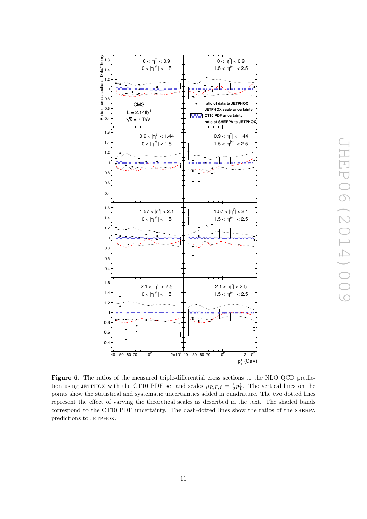

<span id="page-10-0"></span>Figure 6. The ratios of the measured triple-differential cross sections to the NLO QCD prediction using JETPHOX with the CT10 PDF set and scales  $\mu_{R,F,f} = \frac{1}{2} p_T^{\gamma}$ . The vertical lines on the points show the statistical and systematic uncertainties added in quadrature. The two dotted lines represent the effect of varying the theoretical scales as described in the text. The shaded bands correspond to the CT10 PDF uncertainty. The dash-dotted lines show the ratios of the sherpa predictions to JETPHOX.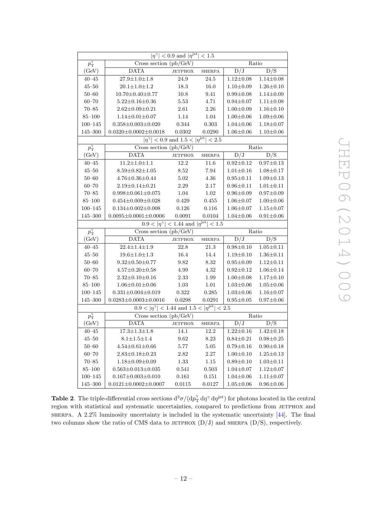| $ \eta^{\gamma}  < 0.9$ and $ \eta^{\rm jet}  < 1.5$ |                                                                      |                                                             |               |                  |                  |  |  |
|------------------------------------------------------|----------------------------------------------------------------------|-------------------------------------------------------------|---------------|------------------|------------------|--|--|
| $p_{\rm T}^{\gamma}$                                 | Cross section $(\text{pb}/\text{GeV})$                               |                                                             |               | Ratio            |                  |  |  |
| (GeV)                                                | <b>DATA</b>                                                          | <b>JETPHOX</b>                                              | <b>SHERPA</b> | $\overline{D/J}$ | $\overline{D/S}$ |  |  |
| $40 - 45$                                            | $27.9 \pm 1.0 \pm 1.8$                                               | 24.9                                                        | 24.5          | $1.12 \pm 0.08$  | $1.14 \pm 0.08$  |  |  |
| $45 - 50$                                            | $20.1 \pm 1.0 \pm 1.2$                                               | 18.3                                                        | 16.0          | $1.10 \pm 0.09$  | $1.26 \pm 0.10$  |  |  |
| $50 - 60$                                            | $10.70 \pm 0.40 \pm 0.77$                                            | 10.8                                                        | 9.41          | $0.99 \pm 0.08$  | $1.14 \pm 0.09$  |  |  |
| $60 - 70$                                            | $5.22 \pm 0.16 \pm 0.36$                                             | $5.53\,$                                                    | 4.71          | $0.94 \pm 0.07$  | $1.11 \pm 0.08$  |  |  |
| $70 - 85$                                            | $2.62 \pm 0.09 \pm 0.21$                                             | 2.61                                                        | $2.26\,$      | $1.00{\pm}0.09$  | $1.16 \pm 0.10$  |  |  |
| $85 - 100$                                           | $1.14 \pm 0.01 \pm 0.07$                                             | 1.14                                                        | 1.04          | $1.00 \pm 0.06$  | $1.09 \pm 0.06$  |  |  |
| $100 - 145$                                          | $0.358 \pm 0.003 \pm 0.020$                                          | 0.344                                                       | $\,0.303\,$   | $1.04 \pm 0.06$  | $1.18 \pm 0.07$  |  |  |
| $145 - 300$                                          | $0.0320 \pm 0.0002 \pm 0.0018$                                       | 0.0302                                                      | 0.0290        | $1.06 \pm 0.06$  | $1.10 \pm 0.06$  |  |  |
|                                                      |                                                                      | $ \eta^{\gamma}  < 0.9$ and $1.5 <  \eta^{\rm jet} $        | < 2.5         |                  |                  |  |  |
| $p_{\rm T}^{\gamma}$                                 | $\overline{\text{Cross}}$ section (pb/GeV)                           |                                                             |               | Ratio            |                  |  |  |
| (GeV)                                                | <b>DATA</b>                                                          | <b>JETPHOX</b>                                              | <b>SHERPA</b> | D/J              | $\overline{D/S}$ |  |  |
| $40 - 45$                                            | $11.2{\pm}1.0{\pm}1.1$                                               | 12.2                                                        | 11.6          | $0.92 \pm 0.12$  | $0.97 + 0.13$    |  |  |
| $45 - 50$                                            | $8.59 \pm 0.82 \pm 1.05$                                             | 8.52                                                        | 7.94          | $1.01 \pm 0.16$  | $1.08 \pm 0.17$  |  |  |
| $50 - 60$                                            | $4.76 \pm 0.36 \pm 0.44$                                             | $5.02\,$                                                    | $4.36\,$      | $0.95 \pm 0.11$  | $1.09 \pm 0.13$  |  |  |
| $60 - 70$                                            | $2.19 \pm 0.14 \pm 0.21$                                             | $2.29\,$                                                    | $2.17\,$      | $0.96 \pm 0.11$  | $1.01 \pm 0.11$  |  |  |
| $70 - 85$                                            | $0.998 \pm 0.061 \pm 0.075$                                          | 1.04                                                        | $1.02\,$      | $0.96 \pm 0.09$  | $0.97 \pm 0.09$  |  |  |
| $85 - 100$                                           | $0.454 \pm 0.009 \pm 0.028$                                          | 0.429                                                       | 0.455         | $1.06 \pm 0.07$  | $1.00 \pm 0.06$  |  |  |
| $100 - 145$                                          | $0.134\pm0.002\pm0.008$                                              | 0.126                                                       | 0.116         | $1.06 \pm 0.07$  | $1.15 \pm 0.07$  |  |  |
| $145 - 300$                                          | $0.0095 \pm 0.0001 \pm 0.0006$                                       | 0.0091                                                      | 0.0104        | $1.04 \pm 0.06$  | $0.91 \pm 0.06$  |  |  |
|                                                      |                                                                      | $0.9 <  \eta^{\gamma}  < 1.44$ and $ \eta^{\rm jet}  < 1.5$ |               |                  |                  |  |  |
| $p_{\rm T}^{\gamma}$                                 | Cross section $(\text{pb}/\text{GeV})$                               |                                                             |               | Ratio            |                  |  |  |
| (GeV)                                                | <b>DATA</b>                                                          | <b>JETPHOX</b>                                              | <b>SHERPA</b> | D/J              | D/S              |  |  |
| $40 - 45$                                            | $22.4 \pm 1.4 \pm 1.9$                                               | 22.8                                                        | 21.3          | $0.98 \pm 0.10$  | $1.05 \pm 0.11$  |  |  |
| $45 - 50$                                            | $19.6 \pm 1.0 \pm 1.3$                                               | 16.4                                                        | 14.4          | $1.19 \pm 0.10$  | $1.36 \pm 0.11$  |  |  |
| $50 - 60$                                            | $9.32 \pm 0.50 \pm 0.77$                                             | $\boldsymbol{9.82}$                                         | $8.32\,$      | $0.95{\pm}0.09$  | $1.12 \pm 0.11$  |  |  |
| $60 - 70$                                            | $4.57 \pm 0.20 \pm 0.58$                                             | $4.99\,$                                                    | 4.32          | $0.92 \pm 0.12$  | $1.06 \pm 0.14$  |  |  |
| $70 - 85$                                            | $2.32 \pm 0.10 \pm 0.16$                                             | $2.33\,$                                                    | 1.99          | $1.00 \pm 0.08$  | $1.17 \pm 0.10$  |  |  |
| $85 - 100$                                           | $1.06 \pm 0.01 \pm 0.06$                                             | 1.03                                                        | $1.01\,$      | $1.03 \pm 0.06$  | $1.05 \pm 0.06$  |  |  |
| $100 - 145$                                          | $0.331 \pm 0.004 \pm 0.019$                                          | 0.322                                                       | $\,0.285\,$   | $1.03 \pm 0.06$  | $1.16 \pm 0.07$  |  |  |
| $145 - 300$                                          | $0.0283 \pm 0.0003 \pm 0.0016$                                       | 0.0298                                                      | 0.0291        | $0.95 \pm 0.05$  | $0.97 + 0.06$    |  |  |
|                                                      | $0.9 <  \eta^{\gamma}  < 1.44$ and $1.5 <  \eta^{\text{jet}}  < 2.5$ |                                                             |               |                  |                  |  |  |
| $p_{\rm T}^{\gamma}$                                 | Cross section $(\text{pb}/\text{GeV})$                               |                                                             |               |                  | Ratio            |  |  |
| (GeV)                                                | $\overline{\text{DATA}}$                                             | <b>JETPHOX</b>                                              | <b>SHERPA</b> | D/J              | D/S              |  |  |
| $40 - 45$                                            | $17.3 \pm 1.3 \pm 1.8$                                               | 14.1                                                        | 12.2          | $1.22 \pm 0.16$  | $1.42 \pm 0.18$  |  |  |
| $45 - 50$                                            | $8.1 \pm 1.5 \pm 1.4$                                                | $9.62\,$                                                    | 8.23          | $0.84 \pm 0.21$  | $0.98 \pm 0.25$  |  |  |
| $50 - 60$                                            | $4.54 \pm 0.61 \pm 0.66$                                             | 5.77                                                        | $5.05\,$      | $0.79 \pm 0.16$  | $0.90 \pm 0.18$  |  |  |
| $60 - 70$                                            | $2.83 \pm 0.18 \pm 0.23$                                             | 2.82                                                        | 2.27          | $1.00 \pm 0.10$  | $1.25 \pm 0.13$  |  |  |
| $70 - 85$                                            | $1.18 \pm 0.09 \pm 0.09$                                             | 1.33                                                        | 1.15          | $0.89 \pm 0.10$  | $1.03 \pm 0.11$  |  |  |
| $85 - 100$                                           | $0.563 \pm 0.013 \pm 0.035$                                          | 0.541                                                       | 0.503         | $1.04 \pm 0.07$  | $1.12 \pm 0.07$  |  |  |
| $100 - 145$                                          | $0.167 \pm 0.003 \pm 0.010$                                          | 0.161                                                       | 0.151         | $1.04 \pm 0.06$  | $1.11 \pm 0.07$  |  |  |
| 145-300                                              | $0.0121 \pm 0.0002 \pm 0.0007$                                       | 0.0115                                                      | 0.0127        | $1.05 \pm 0.06$  | $0.96 \pm 0.06$  |  |  |

<span id="page-11-0"></span>**Table 2.** The triple-differential cross sections  $d^3\sigma/(dp_T^{\gamma} d\eta^{\gamma} d\eta^{\text{jet}})$  for photons located in the central region with statistical and systematic uncertainties, compared to predictions from JETPHOX and sherpa. A 2.2% luminosity uncertainty is included in the systematic uncertainty [\[44\]](#page-16-18). The final two columns show the ratio of CMS data to JETPHOX  $(D/J)$  and SHERPA  $(D/S)$ , respectively.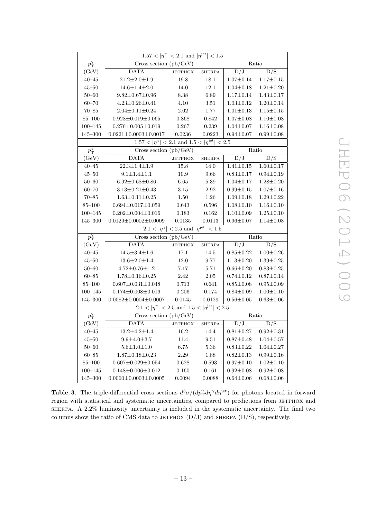| $1.57 <  \eta^{\gamma}  < 2.1$ and $ \eta^{\rm jet}  < 1.5$ |                                                                      |                |               |                 |                  |  |  |
|-------------------------------------------------------------|----------------------------------------------------------------------|----------------|---------------|-----------------|------------------|--|--|
| $p_{\textrm{T}}^{\gamma}$                                   | Cross section $(\text{pb}/\text{GeV})$                               |                |               | Ratio           |                  |  |  |
| (GeV)                                                       | <b>DATA</b>                                                          | <b>JETPHOX</b> | <b>SHERPA</b> | D/J             | $\overline{D/S}$ |  |  |
| $40 - 45$                                                   | $21.2 \pm 2.0 \pm 1.9$                                               | 19.8           | 18.1          | $1.07 \pm 0.14$ | $1.17 \pm 0.15$  |  |  |
| $45 - 50$                                                   | $14.6 \pm 1.4 \pm 2.0$                                               | 14.0           | 12.1          | $1.04 \pm 0.18$ | $1.21 \pm 0.20$  |  |  |
| $50 - 60$                                                   | $9.82 \pm 0.67 \pm 0.96$                                             | $8.38\,$       | 6.89          | $1.17 \pm 0.14$ | $1.43 \pm 0.17$  |  |  |
| $60 - 70$                                                   | $4.23 \pm 0.26 \pm 0.41$                                             | 4.10           | $3.51\,$      | $1.03 \pm 0.12$ | $1.20 \pm 0.14$  |  |  |
| $70 - 85$                                                   | $2.04 \pm 0.11 \pm 0.24$                                             | $2.02\,$       | $1.77\,$      | $1.01 \pm 0.13$ | $1.15 \pm 0.15$  |  |  |
| $85 - 100$                                                  | $0.928 \pm 0.019 \pm 0.065$                                          | 0.868          | 0.842         | $1.07 \pm 0.08$ | $1.10 \pm 0.08$  |  |  |
| $100 - 145$                                                 | $0.276 \pm 0.005 \pm 0.019$                                          | 0.267          | 0.239         | $1.04 \pm 0.07$ | $1.16 \pm 0.08$  |  |  |
| $145 - 300$                                                 | $0.0221 \pm 0.0003 \pm 0.0017$                                       | 0.0236         | 0.0223        | $0.94 \pm 0.07$ | $0.99 + 0.08$    |  |  |
|                                                             | $1.57 <  \eta^{\gamma}  < 2.1$ and $1.5 <  \eta^{\text{jet}}  < 2.5$ |                |               |                 |                  |  |  |
| $p_{\rm T}^{\gamma}$                                        | Cross section $(\text{pb}/\text{GeV})$                               |                |               |                 | Ratio            |  |  |
| (GeV)                                                       | <b>DATA</b>                                                          | <b>JETPHOX</b> | <b>SHERPA</b> | D/J             | D/S              |  |  |
| $40 - 45$                                                   | $22.3 \pm 1.4 \pm 1.9$                                               | 15.8           | 14.0          | $1.41 \pm 0.15$ | $1.60 \pm 0.17$  |  |  |
| $45 - 50$                                                   | $9.1 \pm 1.4 \pm 1.1$                                                | 10.9           | $9.66\,$      | $0.83 \pm 0.17$ | $0.94 \pm 0.19$  |  |  |
| $50 - 60$                                                   | $6.92 \pm 0.68 \pm 0.86$                                             | 6.65           | 5.39          | $1.04 \pm 0.17$ | $1.28 \pm 0.20$  |  |  |
| $60 - 70$                                                   | $3.13 \pm 0.21 \pm 0.43$                                             | 3.15           | 2.92          | $0.99 \pm 0.15$ | $1.07 \pm 0.16$  |  |  |
| $70 - 85$                                                   | $1.63 \pm 0.11 \pm 0.25$                                             | 1.50           | 1.26          | $1.09 \pm 0.18$ | $1.29 \pm 0.22$  |  |  |
| $85 - 100$                                                  | $0.694 \pm 0.017 \pm 0.059$                                          | 0.643          | $\,0.596\,$   | $1.08 \pm 0.10$ | $1.16 \pm 0.10$  |  |  |
| $100 - 145$                                                 | $0.202 \pm 0.004 \pm 0.016$                                          | 0.183          | 0.162         | $1.10 \pm 0.09$ | $1.25 \pm 0.10$  |  |  |
| $145 - 300$                                                 | $0.0129 \pm 0.0002 \pm 0.0009$                                       | 0.0135         | 0.0113        | $0.96 \pm 0.07$ | $1.14 \pm 0.08$  |  |  |
| $2.1 <  \eta^{\gamma}  < 2.5$ and $ \eta^{\rm jet}  < 1.5$  |                                                                      |                |               |                 |                  |  |  |
| $p_{\rm T}^{\gamma}$                                        | Cross section $(\text{pb}/\text{GeV})$                               |                |               |                 | Ratio            |  |  |
| (GeV)                                                       | <b>DATA</b>                                                          | <b>JETPHOX</b> | <b>SHERPA</b> | D/J             | D/S              |  |  |
| $40 - 45$                                                   | $14.5 \pm 3.4 \pm 1.6$                                               | 17.1           | 14.5          | $0.85 \pm 0.22$ | $1.00 \pm 0.26$  |  |  |
| $45 - 50$                                                   | $13.6 \pm 2.0 \pm 1.4$                                               | $12.0\,$       | 9.77          | $1.13 \pm 0.20$ | $1.39 \pm 0.25$  |  |  |
| $50 - 60$                                                   | $4.72 \pm 0.76 \pm 1.2$                                              | 7.17           | 5.71          | $0.66 \pm 0.20$ | $0.83 \pm 0.25$  |  |  |
| $60 - 85$                                                   | $1.78 \pm 0.16 \pm 0.25$                                             | $2.42\,$       | $2.05\,$      | $0.74 \pm 0.12$ | $0.87 \pm 0.14$  |  |  |
| $85 - 100$                                                  | $0.607 \pm 0.031 \pm 0.048$                                          | 0.713          | 0.641         | $0.85 \pm 0.08$ | $0.95 \pm 0.09$  |  |  |
| $100 - 145$                                                 | $0.174 \pm 0.008 \pm 0.016$                                          | 0.206          | 0.174         | $0.84 \pm 0.09$ | $1.00 \pm 0.10$  |  |  |
| $145 - 300$                                                 | $0.0082 \pm 0.0004 \pm 0.0007$                                       | 0.0145         | 0.0129        | $0.56 \pm 0.05$ | $0.63 \pm 0.06$  |  |  |
|                                                             | $2.1 <  \eta^{\gamma}  < 2.5$ and $1.5 <  \eta^{\text{jet}}  < 2.5$  |                |               |                 |                  |  |  |
| $p_{\rm T}^{\gamma}$                                        | Cross section $(\text{pb}/\text{GeV})$<br>Ratio                      |                |               |                 |                  |  |  |
| (GeV)                                                       | <b>DATA</b>                                                          | <b>JETPHOX</b> | <b>SHERPA</b> | D/J             | D/S              |  |  |
| $40 - 45$                                                   | $13.2 \pm 4.2 \pm 1.4$                                               | 16.2           | 14.4          | $0.81 \pm 0.27$ | $0.92 \pm 0.31$  |  |  |
| $45 - 50$                                                   | $9.9 + 4.0 + 3.7$                                                    | $11.4\,$       | $\,9.51$      | $0.87 \pm 0.48$ | $1.04 \pm 0.57$  |  |  |
| $50 - 60$                                                   | $5.6 \pm 1.0 \pm 1.0$                                                | 6.75           | 5.36          | $0.83 \pm 0.22$ | $1.04 \pm 0.27$  |  |  |
| $60 - 85$                                                   | $1.87 \pm 0.18 \pm 0.23$                                             | 2.29           | 1.88          | $0.82 \pm 0.13$ | $0.99 \pm 0.16$  |  |  |
| $85 - 100$                                                  | $0.607 \pm 0.029 \pm 0.054$                                          | 0.628          | 0.593         | $0.97 \pm 0.10$ | $1.02 \pm 0.10$  |  |  |
| $100 - 145$                                                 | $0.148 \pm 0.006 \pm 0.012$                                          | 0.160          | 0.161         | $0.92 \pm 0.08$ | $0.92 \pm 0.08$  |  |  |
| $145 - 300$                                                 | $0.0060 \pm 0.0003 \pm 0.0005$                                       | 0.0094         | 0.0088        | $0.64{\pm}0.06$ | $0.68 \pm 0.06$  |  |  |

**JHEP 06 (2014) 009** JHEP06(2014)009

<span id="page-12-0"></span>**Table 3.** The triple-differential cross sections  $d^3\sigma/(dp_T^{\gamma}d\eta^{\gamma}d\eta^{\text{jet}})$  for photons located in forward region with statistical and systematic uncertainties, compared to predictions from JETPHOX and sherpa. A 2.2% luminosity uncertainty is included in the systematic uncertainty. The final two columns show the ratio of CMS data to JETPHOX  $(D/J)$  and SHERPA  $(D/S)$ , respectively.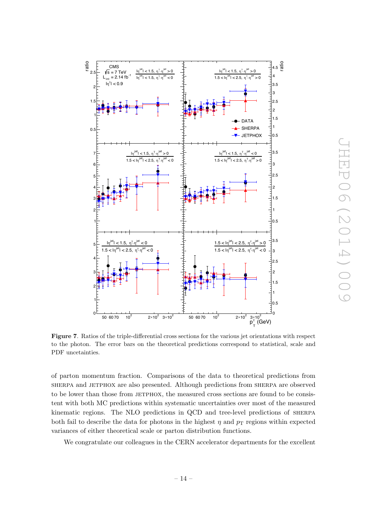

<span id="page-13-0"></span>Figure 7. Ratios of the triple-differential cross sections for the various jet orientations with respect to the photon. The error bars on the theoretical predictions correspond to statistical, scale and PDF uncetainties.

of parton momentum fraction. Comparisons of the data to theoretical predictions from sherpa and JETPHOX are also presented. Although predictions from SHERPA are observed to be lower than those from JETPHOX, the measured cross sections are found to be consistent with both MC predictions within systematic uncertainties over most of the measured kinematic regions. The NLO predictions in QCD and tree-level predictions of sherpa both fail to describe the data for photons in the highest  $\eta$  and  $p_T$  regions within expected variances of either theoretical scale or parton distribution functions.

We congratulate our colleagues in the CERN accelerator departments for the excellent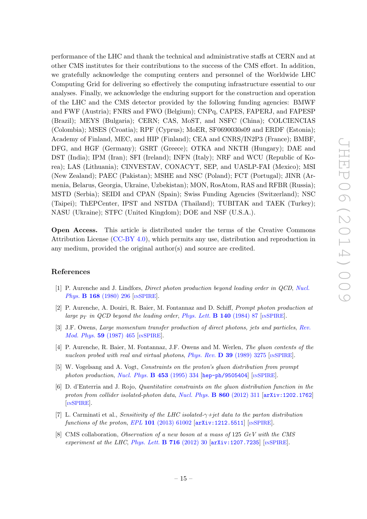performance of the LHC and thank the technical and administrative staffs at CERN and at other CMS institutes for their contributions to the success of the CMS effort. In addition, we gratefully acknowledge the computing centers and personnel of the Worldwide LHC Computing Grid for delivering so effectively the computing infrastructure essential to our analyses. Finally, we acknowledge the enduring support for the construction and operation of the LHC and the CMS detector provided by the following funding agencies: BMWF and FWF (Austria); FNRS and FWO (Belgium); CNPq, CAPES, FAPERJ, and FAPESP (Brazil); MEYS (Bulgaria); CERN; CAS, MoST, and NSFC (China); COLCIENCIAS (Colombia); MSES (Croatia); RPF (Cyprus); MoER, SF0690030s09 and ERDF (Estonia); Academy of Finland, MEC, and HIP (Finland); CEA and CNRS/IN2P3 (France); BMBF, DFG, and HGF (Germany); GSRT (Greece); OTKA and NKTH (Hungary); DAE and DST (India); IPM (Iran); SFI (Ireland); INFN (Italy); NRF and WCU (Republic of Korea); LAS (Lithuania); CINVESTAV, CONACYT, SEP, and UASLP-FAI (Mexico); MSI (New Zealand); PAEC (Pakistan); MSHE and NSC (Poland); FCT (Portugal); JINR (Armenia, Belarus, Georgia, Ukraine, Uzbekistan); MON, RosAtom, RAS and RFBR (Russia); MSTD (Serbia); SEIDI and CPAN (Spain); Swiss Funding Agencies (Switzerland); NSC (Taipei); ThEPCenter, IPST and NSTDA (Thailand); TUBITAK and TAEK (Turkey); NASU (Ukraine); STFC (United Kingdom); DOE and NSF (U.S.A.).

Open Access. This article is distributed under the terms of the Creative Commons Attribution License [\(CC-BY 4.0\)](http://creativecommons.org/licenses/by/4.0/), which permits any use, distribution and reproduction in any medium, provided the original author(s) and source are credited.

# References

- <span id="page-14-0"></span>[1] P. Aurenche and J. Lindfors, Direct photon production beyond leading order in QCD, [Nucl.](http://dx.doi.org/10.1016/0550-3213(80)90112-1) Phys. **B 168** [\(1980\) 296](http://dx.doi.org/10.1016/0550-3213(80)90112-1) [IN[SPIRE](http://inspirehep.net/search?p=find+J+Nucl.Phys.,B168,296)].
- [2] P. Aurenche, A. Douiri, R. Baier, M. Fontannaz and D. Schiff, Prompt photon production at large  $p_T$  in QCD beyond the leading order, [Phys. Lett.](http://dx.doi.org/10.1016/0370-2693(84)91053-0) **B 140** (1984) 87 [IN[SPIRE](http://inspirehep.net/search?p=find+J+Phys.Lett.,B140,87)].
- [3] J.F. Owens, Large momentum transfer production of direct photons, jets and particles, [Rev.](http://dx.doi.org/10.1103/RevModPhys.59.465) [Mod. Phys.](http://dx.doi.org/10.1103/RevModPhys.59.465) 59 (1987) 465 [IN[SPIRE](http://inspirehep.net/search?p=find+J+Rev.Mod.Phys.,59,465)].
- [4] P. Aurenche, R. Baier, M. Fontannaz, J.F. Owens and M. Werlen, The gluon contents of the nucleon probed with real and virtual photons, Phys. Rev.  $\bf{D}$  39 [\(1989\) 3275](http://dx.doi.org/10.1103/PhysRevD.39.3275) [IN[SPIRE](http://inspirehep.net/search?p=find+J+Phys.Rev.,D39,3275)].
- <span id="page-14-1"></span>[5] W. Vogelsang and A. Vogt, Constraints on the proton's gluon distribution from prompt photon production, [Nucl. Phys.](http://dx.doi.org/10.1016/0550-3213(95)00424-Q)  $\bf{B}$  453 (1995) 334 [[hep-ph/9505404](http://arxiv.org/abs/hep-ph/9505404)] [IN[SPIRE](http://inspirehep.net/search?p=find+EPRINT+hep-ph/9505404)].
- <span id="page-14-2"></span>[6] D. d'Enterria and J. Rojo, Quantitative constraints on the gluon distribution function in the proton from collider isolated-photon data, [Nucl. Phys.](http://dx.doi.org/10.1016/j.nuclphysb.2012.03.003) B 860 (2012) 311 [[arXiv:1202.1762](http://arxiv.org/abs/1202.1762)] [IN[SPIRE](http://inspirehep.net/search?p=find+EPRINT+arXiv:1202.1762)].
- <span id="page-14-3"></span>[7] L. Carminati et al., Sensitivity of the LHC isolated- $\gamma$ +jet data to the parton distribution functions of the proton,  $EPL$  101 [\(2013\) 61002](http://dx.doi.org/10.1209/0295-5075/101/61002)  $\text{arXiv:1212.5511}$  $\text{arXiv:1212.5511}$  $\text{arXiv:1212.5511}$  [IN[SPIRE](http://inspirehep.net/search?p=find+EPRINT+arXiv:1212.5511)].
- <span id="page-14-4"></span>[8] CMS collaboration, Observation of a new boson at a mass of 125 GeV with the CMS experiment at the LHC, [Phys. Lett.](http://dx.doi.org/10.1016/j.physletb.2012.08.021) **B** 716 (2012) 30  $\left[\text{arXiv:1207.7235}\right]$  $\left[\text{arXiv:1207.7235}\right]$  $\left[\text{arXiv:1207.7235}\right]$   $\left[\text{insPIRE}\right]$ .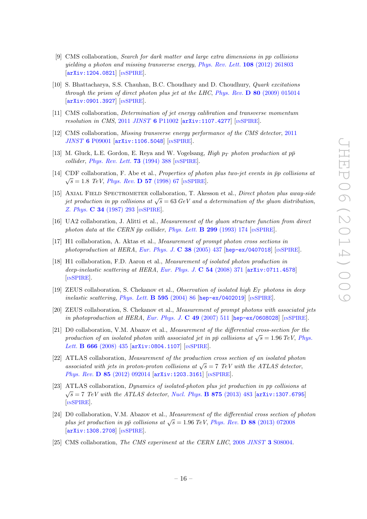- <span id="page-15-0"></span>[9] CMS collaboration, Search for dark matter and large extra dimensions in pp collisions yielding a photon and missing transverse energy, [Phys. Rev. Lett.](http://dx.doi.org/10.1103/PhysRevLett.108.261803) 108 (2012) 261803 [[arXiv:1204.0821](http://arxiv.org/abs/1204.0821)] [IN[SPIRE](http://inspirehep.net/search?p=find+EPRINT+arXiv:1204.0821)].
- <span id="page-15-1"></span>[10] S. Bhattacharya, S.S. Chauhan, B.C. Choudhary and D. Choudhury, Quark excitations through the prism of direct photon plus jet at the LHC, Phys. Rev.  $\bf{D}$  80 [\(2009\) 015014](http://dx.doi.org/10.1103/PhysRevD.80.015014) [[arXiv:0901.3927](http://arxiv.org/abs/0901.3927)] [IN[SPIRE](http://inspirehep.net/search?p=find+EPRINT+arXiv:0901.3927)].
- <span id="page-15-2"></span>[11] CMS collaboration, Determination of jet energy calibration and transverse momentum resolution in CMS, 2011 JINST 6 [P11002](http://dx.doi.org/10.1088/1748-0221/6/11/P11002) [[arXiv:1107.4277](http://arxiv.org/abs/1107.4277)] [IN[SPIRE](http://inspirehep.net/search?p=find+EPRINT+arXiv:1107.4277)].
- <span id="page-15-3"></span>[12] CMS collaboration, *Missing transverse energy performance of the CMS detector*, [2011](http://dx.doi.org/10.1088/1748-0221/6/09/P09001) JINST 6 [P09001](http://dx.doi.org/10.1088/1748-0221/6/09/P09001) [[arXiv:1106.5048](http://arxiv.org/abs/1106.5048)] [IN[SPIRE](http://inspirehep.net/search?p=find+EPRINT+arXiv:1106.5048)].
- <span id="page-15-4"></span>[13] M. Gluck, L.E. Gordon, E. Reya and W. Vogelsang, *High p<sub>T</sub>* photon production at  $p\bar{p}$  $collider, Phys. Rev. Lett. 73 (1994) 388 [NSPIRE].$  $collider, Phys. Rev. Lett. 73 (1994) 388 [NSPIRE].$  $collider, Phys. Rev. Lett. 73 (1994) 388 [NSPIRE].$  $collider, Phys. Rev. Lett. 73 (1994) 388 [NSPIRE].$  $collider, Phys. Rev. Lett. 73 (1994) 388 [NSPIRE].$
- <span id="page-15-5"></span>[14] CDF collaboration, F. Abe et al., *Properties of photon plus two-jet events in*  $\bar{p}p$  *collisions at*  $\sqrt{s} = 1.8$  TeV, [Phys. Rev.](http://dx.doi.org/10.1103/PhysRevD.57.67) **D 57** (1998) 67 [IN[SPIRE](http://inspirehep.net/search?p=find+J+Phys.Rev.,D57,67)].
- [15] Axial Field Spectrometer collaboration, T. Akesson et al., Direct photon plus away-side  $\sqrt{s}$  is the production in pp collisions at  $\sqrt{s} = 63 \text{ GeV}$  and a determination of the gluon distribution, Z. Phys. C 34 [\(1987\) 293](http://dx.doi.org/10.1007/BF01548810) [IN[SPIRE](http://inspirehep.net/search?p=find+J+Z.Physik,C34,293)].
- [16] UA2 collaboration, J. Alitti et al., Measurement of the gluon structure function from direct photon data at the CERN  $\bar{p}p$  collider, [Phys. Lett.](http://dx.doi.org/10.1016/0370-2693(93)90899-S) **B 299** (1993) 174 [IN[SPIRE](http://inspirehep.net/search?p=find+J+Phys.Lett.,B299,174)].
- [17] H1 collaboration, A. Aktas et al., Measurement of prompt photon cross sections in photoproduction at HERA, [Eur. Phys. J.](http://dx.doi.org/10.1140/epjc/s2004-02085-x)  $C$  38 (2005) 437 [[hep-ex/0407018](http://arxiv.org/abs/hep-ex/0407018)] [IN[SPIRE](http://inspirehep.net/search?p=find+EPRINT+hep-ex/0407018)].
- [18] H1 collaboration, F.D. Aaron et al., Measurement of isolated photon production in deep-inelastic scattering at HERA, [Eur. Phys. J.](http://dx.doi.org/10.1140/epjc/s10052-008-0541-6)  $\bf{C}$  54 (2008) 371 [[arXiv:0711.4578](http://arxiv.org/abs/0711.4578)] [IN[SPIRE](http://inspirehep.net/search?p=find+EPRINT+arXiv:0711.4578)].
- [19] ZEUS collaboration, S. Chekanov et al., Observation of isolated high  $E_T$  photons in deep inelastic scattering, [Phys. Lett.](http://dx.doi.org/10.1016/j.physletb.2004.05.033)  $\bf{B}$  595 (2004) 86 [[hep-ex/0402019](http://arxiv.org/abs/hep-ex/0402019)] [IN[SPIRE](http://inspirehep.net/search?p=find+EPRINT+hep-ex/0402019)].
- [20] ZEUS collaboration, S. Chekanov et al., Measurement of prompt photons with associated jets in photoproduction at HERA, [Eur. Phys. J.](http://dx.doi.org/10.1140/epjc/s10052-006-0134-1)  $C$  49 (2007) 511 [[hep-ex/0608028](http://arxiv.org/abs/hep-ex/0608028)] [IN[SPIRE](http://inspirehep.net/search?p=find+EPRINT+hep-ex/0608028)].
- <span id="page-15-8"></span>[21] D0 collaboration, V.M. Abazov et al., Measurement of the differential cross-section for the production of an isolated photon with associated jet in  $p\bar{p}$  collisions at  $\sqrt{s} = 1.96$  TeV, [Phys.](http://dx.doi.org/10.1016/j.physletb.2008.06.076) Lett. **B 666** [\(2008\) 435](http://dx.doi.org/10.1016/j.physletb.2008.06.076) [[arXiv:0804.1107](http://arxiv.org/abs/0804.1107)] [IN[SPIRE](http://inspirehep.net/search?p=find+EPRINT+arXiv:0804.1107)].
- [22] ATLAS collaboration, Measurement of the production cross section of an isolated photon associated with jets in proton-proton collisions at  $\sqrt{s} = 7$  TeV with the ATLAS detector, Phys. Rev. D 85 [\(2012\) 092014](http://dx.doi.org/10.1103/PhysRevD.85.092014) [[arXiv:1203.3161](http://arxiv.org/abs/1203.3161)] [IN[SPIRE](http://inspirehep.net/search?p=find+EPRINT+arXiv:1203.3161)].
- [23] ATLAS collaboration, Dynamics of isolated-photon plus jet production in pp collisions at √  $\sqrt{s}$  = 7 TeV with the ATLAS detector, [Nucl. Phys.](http://dx.doi.org/10.1016/j.nuclphysb.2013.07.025) B 875 (2013) 483 [[arXiv:1307.6795](http://arxiv.org/abs/1307.6795)] [IN[SPIRE](http://inspirehep.net/search?p=find+EPRINT+arXiv:1307.6795)].
- <span id="page-15-6"></span>[24] D0 collaboration, V.M. Abazov et al., Measurement of the differential cross section of photon plus jet production in  $p\bar{p}$  collisions at  $\sqrt{s} = 1.96 \text{ TeV}$ , Phys. Rev. **D** 88 [\(2013\) 072008](http://dx.doi.org/10.1103/PhysRevD.88.072008) [[arXiv:1308.2708](http://arxiv.org/abs/1308.2708)] [IN[SPIRE](http://inspirehep.net/search?p=find+EPRINT+arXiv:1308.2708)].
- <span id="page-15-7"></span>[25] CMS collaboration, The CMS experiment at the CERN LHC, 2008 JINST 3 [S08004.](http://dx.doi.org/10.1088/1748-0221/3/08/S08004)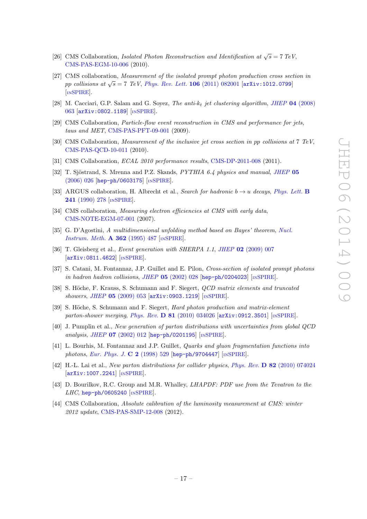- <span id="page-16-0"></span>[26] CMS Collaboration, *Isolated Photon Reconstruction and Identification at*  $\sqrt{s} = 7 \text{ TeV}$ , [CMS-PAS-EGM-10-006](http://cds.cern.ch/record/1324545) (2010).
- <span id="page-16-1"></span>[27] CMS collaboration, Measurement of the isolated prompt photon production cross section in pp collisions at  $\sqrt{s} = 7$  TeV, [Phys. Rev. Lett.](http://dx.doi.org/10.1103/PhysRevLett.106.082001) 106 (2011) 082001 [[arXiv:1012.0799](http://arxiv.org/abs/1012.0799)] [IN[SPIRE](http://inspirehep.net/search?p=find+EPRINT+arXiv:1012.0799)].
- <span id="page-16-2"></span>[28] M. Cacciari, G.P. Salam and G. Soyez, The anti- $k_t$  jet clustering algorithm, JHEP 04 [\(2008\)](http://dx.doi.org/10.1088/1126-6708/2008/04/063) [063](http://dx.doi.org/10.1088/1126-6708/2008/04/063) [[arXiv:0802.1189](http://arxiv.org/abs/0802.1189)] [IN[SPIRE](http://inspirehep.net/search?p=find+EPRINT+arXiv:0802.1189)].
- <span id="page-16-3"></span>[29] CMS Collaboration, Particle-flow event reconstruction in CMS and performance for jets, taus and MET, [CMS-PAS-PFT-09-001](http://cds.cern.ch/record/1194487) (2009).
- <span id="page-16-4"></span>[30] CMS Collaboration, Measurement of the inclusive jet cross section in pp collisions at 7 TeV, [CMS-PAS-QCD-10-011](http://cds.cern.ch/record/1280682) (2010).
- <span id="page-16-5"></span>[31] CMS Collaboration, ECAL 2010 performance results, [CMS-DP-2011-008](http://cds.cern.ch/record/1373389) (2011).
- <span id="page-16-6"></span>[32] T. Sjöstrand, S. Mrenna and P.Z. Skands, PYTHIA 6.4 physics and manual, [JHEP](http://dx.doi.org/10.1088/1126-6708/2006/05/026) 05 [\(2006\) 026](http://dx.doi.org/10.1088/1126-6708/2006/05/026) [[hep-ph/0603175](http://arxiv.org/abs/hep-ph/0603175)] [IN[SPIRE](http://inspirehep.net/search?p=find+EPRINT+hep-ph/0603175)].
- <span id="page-16-7"></span>[33] ARGUS collaboration, H. Albrecht et al., Search for hadronic  $b \rightarrow u$  decays, [Phys. Lett.](http://dx.doi.org/10.1016/0370-2693(90)91293-K) B 241 [\(1990\) 278](http://dx.doi.org/10.1016/0370-2693(90)91293-K) [IN[SPIRE](http://inspirehep.net/search?p=find+J+Phys.Lett.,B241,278)].
- <span id="page-16-8"></span>[34] CMS collaboration, Measuring electron efficiencies at CMS with early data, [CMS-NOTE-EGM-07-001](http://cds.cern.ch/record/1194482) (2007).
- <span id="page-16-9"></span>[35] G. D'Agostini, A multidimensional unfolding method based on Bayes' theorem, [Nucl.](http://dx.doi.org/10.1016/0168-9002(95)00274-X) [Instrum. Meth.](http://dx.doi.org/10.1016/0168-9002(95)00274-X) A 362 (1995) 487 [IN[SPIRE](http://inspirehep.net/search?p=find+J+Nucl.Instrum.Meth.,A362,487)].
- <span id="page-16-10"></span>[36] T. Gleisberg et al., Event generation with SHERPA 1.1, JHEP 02 [\(2009\) 007](http://dx.doi.org/10.1088/1126-6708/2009/02/007) [[arXiv:0811.4622](http://arxiv.org/abs/0811.4622)] [IN[SPIRE](http://inspirehep.net/search?p=find+EPRINT+arXiv:0811.4622)].
- <span id="page-16-11"></span>[37] S. Catani, M. Fontannaz, J.P. Guillet and E. Pilon, Cross-section of isolated prompt photons in hadron hadron collisions, JHEP  $05$  [\(2002\) 028](http://dx.doi.org/10.1088/1126-6708/2002/05/028) [[hep-ph/0204023](http://arxiv.org/abs/hep-ph/0204023)] [IN[SPIRE](http://inspirehep.net/search?p=find+EPRINT+hep-ph/0204023)].
- <span id="page-16-12"></span>[38] S. Höche, F. Krauss, S. Schumann and F. Siegert, *QCD matrix elements and truncated* showers, JHEP 05 [\(2009\) 053](http://dx.doi.org/10.1088/1126-6708/2009/05/053) [[arXiv:0903.1219](http://arxiv.org/abs/0903.1219)] [IN[SPIRE](http://inspirehep.net/search?p=find+EPRINT+arXiv:0903.1219)].
- <span id="page-16-13"></span>[39] S. Höche, S. Schumann and F. Siegert, *Hard photon production and matrix-element* parton-shower merging, Phys. Rev. D  $81$  [\(2010\) 034026](http://dx.doi.org/10.1103/PhysRevD.81.034026) [[arXiv:0912.3501](http://arxiv.org/abs/0912.3501)] [IN[SPIRE](http://inspirehep.net/search?p=find+EPRINT+arXiv:0912.3501)].
- <span id="page-16-14"></span>[40] J. Pumplin et al., New generation of parton distributions with uncertainties from global QCD analysis, JHEP 07 [\(2002\) 012](http://dx.doi.org/10.1088/1126-6708/2002/07/012) [[hep-ph/0201195](http://arxiv.org/abs/hep-ph/0201195)] [IN[SPIRE](http://inspirehep.net/search?p=find+EPRINT+hep-ph/0201195)].
- <span id="page-16-15"></span>[41] L. Bourhis, M. Fontannaz and J.P. Guillet, Quarks and gluon fragmentation functions into photons, [Eur. Phys. J.](http://dx.doi.org/10.1007/s100520050158) C 2 (1998) 529 [[hep-ph/9704447](http://arxiv.org/abs/hep-ph/9704447)] [IN[SPIRE](http://inspirehep.net/search?p=find+EPRINT+hep-ph/9704447)].
- <span id="page-16-16"></span>[42] H.-L. Lai et al., New parton distributions for collider physics, Phys. Rev. D 82 [\(2010\) 074024](http://dx.doi.org/10.1103/PhysRevD.82.074024) [[arXiv:1007.2241](http://arxiv.org/abs/1007.2241)] [IN[SPIRE](http://inspirehep.net/search?p=find+EPRINT+arXiv:1007.2241)].
- <span id="page-16-17"></span>[43] D. Bourilkov, R.C. Group and M.R. Whalley, *LHAPDF: PDF use from the Tevatron to the*  $LHC$ , [hep-ph/0605240](http://arxiv.org/abs/hep-ph/0605240) [IN[SPIRE](http://inspirehep.net/search?p=find+EPRINT+hep-ph/0605240)].
- <span id="page-16-18"></span>[44] CMS Collaboration, Absolute calibration of the luminosity measurement at CMS: winter 2012 update, [CMS-PAS-SMP-12-008](http://cds.cern.ch/record/1434360) (2012).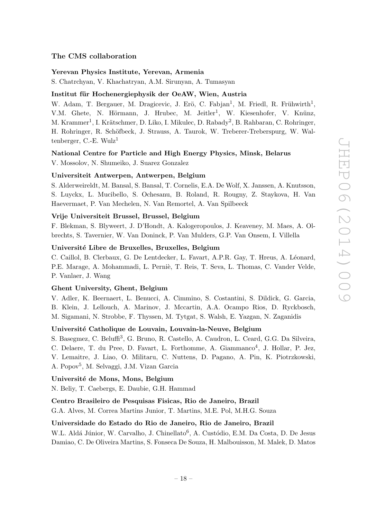# The CMS collaboration

#### Yerevan Physics Institute, Yerevan, Armenia

S. Chatrchyan, V. Khachatryan, A.M. Sirunyan, A. Tumasyan

#### Institut für Hochenergiephysik der OeAW, Wien, Austria

W. Adam, T. Bergauer, M. Dragicevic, J. Erö, C. Fabjan<sup>1</sup>, M. Friedl, R. Frühwirth<sup>1</sup>, V.M. Ghete, N. Hörmann, J. Hrubec, M. Jeitler<sup>1</sup>, W. Kiesenhofer, V. Knünz, M. Krammer<sup>1</sup>, I. Krätschmer, D. Liko, I. Mikulec, D. Rabady<sup>2</sup>, B. Rahbaran, C. Rohringer, H. Rohringer, R. Schöfbeck, J. Strauss, A. Taurok, W. Treberer-Treberspurg, W. Waltenberger, C.-E. Wulz<sup>1</sup>

### National Centre for Particle and High Energy Physics, Minsk, Belarus

V. Mossolov, N. Shumeiko, J. Suarez Gonzalez

### Universiteit Antwerpen, Antwerpen, Belgium

S. Alderweireldt, M. Bansal, S. Bansal, T. Cornelis, E.A. De Wolf, X. Janssen, A. Knutsson, S. Luyckx, L. Mucibello, S. Ochesanu, B. Roland, R. Rougny, Z. Staykova, H. Van Haevermaet, P. Van Mechelen, N. Van Remortel, A. Van Spilbeeck

### Vrije Universiteit Brussel, Brussel, Belgium

F. Blekman, S. Blyweert, J. D'Hondt, A. Kalogeropoulos, J. Keaveney, M. Maes, A. Olbrechts, S. Tavernier, W. Van Doninck, P. Van Mulders, G.P. Van Onsem, I. Villella

# Université Libre de Bruxelles, Bruxelles, Belgium

C. Caillol, B. Clerbaux, G. De Lentdecker, L. Favart, A.P.R. Gay, T. Hreus, A. Léonard, P.E. Marage, A. Mohammadi, L. Perniè, T. Reis, T. Seva, L. Thomas, C. Vander Velde, P. Vanlaer, J. Wang

### Ghent University, Ghent, Belgium

V. Adler, K. Beernaert, L. Benucci, A. Cimmino, S. Costantini, S. Dildick, G. Garcia, B. Klein, J. Lellouch, A. Marinov, J. Mccartin, A.A. Ocampo Rios, D. Ryckbosch, M. Sigamani, N. Strobbe, F. Thyssen, M. Tytgat, S. Walsh, E. Yazgan, N. Zaganidis

# Université Catholique de Louvain, Louvain-la-Neuve, Belgium

S. Basegmez, C. Beluffi<sup>3</sup>, G. Bruno, R. Castello, A. Caudron, L. Ceard, G.G. Da Silveira, C. Delaere, T. du Pree, D. Favart, L. Forthomme, A. Giammanco<sup>4</sup>, J. Hollar, P. Jez, V. Lemaitre, J. Liao, O. Militaru, C. Nuttens, D. Pagano, A. Pin, K. Piotrzkowski, A. Popov<sup>5</sup>, M. Selvaggi, J.M. Vizan Garcia

#### Université de Mons, Mons, Belgium

N. Beliy, T. Caebergs, E. Daubie, G.H. Hammad

# Centro Brasileiro de Pesquisas Fisicas, Rio de Janeiro, Brazil

G.A. Alves, M. Correa Martins Junior, T. Martins, M.E. Pol, M.H.G. Souza

# Universidade do Estado do Rio de Janeiro, Rio de Janeiro, Brazil

W.L. Aldá Júnior, W. Carvalho, J. Chinellato<sup>6</sup>, A. Custódio, E.M. Da Costa, D. De Jesus Damiao, C. De Oliveira Martins, S. Fonseca De Souza, H. Malbouisson, M. Malek, D. Matos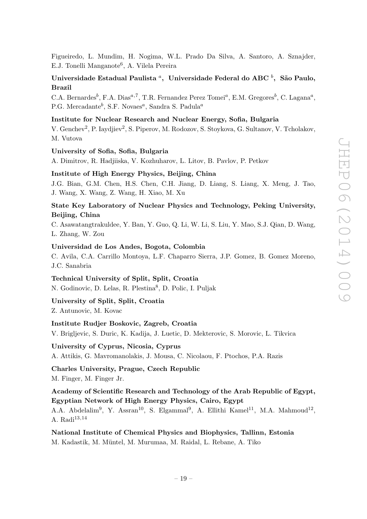Figueiredo, L. Mundim, H. Nogima, W.L. Prado Da Silva, A. Santoro, A. Sznajder, E.J. Tonelli Manganote<sup>6</sup>, A. Vilela Pereira

# Universidade Estadual Paulista  $^a,\,$  Universidade Federal do ABC  $^b,\,$  São Paulo, Brazil

C.A. Bernardes<sup>b</sup>, F.A. Dias<sup>a, 7</sup>, T.R. Fernandez Perez Tomei<sup>a</sup>, E.M. Gregores<sup>b</sup>, C. Lagana<sup>a</sup>, P.G. Mercadante<sup>b</sup>, S.F. Novaes<sup>a</sup>, Sandra S. Padula<sup>a</sup>

# Institute for Nuclear Research and Nuclear Energy, Sofia, Bulgaria

V. Genchev<sup>2</sup>, P. Iaydjiev<sup>2</sup>, S. Piperov, M. Rodozov, S. Stoykova, G. Sultanov, V. Tcholakov, M. Vutova

# University of Sofia, Sofia, Bulgaria

A. Dimitrov, R. Hadjiiska, V. Kozhuharov, L. Litov, B. Pavlov, P. Petkov

### Institute of High Energy Physics, Beijing, China

J.G. Bian, G.M. Chen, H.S. Chen, C.H. Jiang, D. Liang, S. Liang, X. Meng, J. Tao, J. Wang, X. Wang, Z. Wang, H. Xiao, M. Xu

# State Key Laboratory of Nuclear Physics and Technology, Peking University, Beijing, China

C. Asawatangtrakuldee, Y. Ban, Y. Guo, Q. Li, W. Li, S. Liu, Y. Mao, S.J. Qian, D. Wang, L. Zhang, W. Zou

### Universidad de Los Andes, Bogota, Colombia

C. Avila, C.A. Carrillo Montoya, L.F. Chaparro Sierra, J.P. Gomez, B. Gomez Moreno, J.C. Sanabria

### Technical University of Split, Split, Croatia

N. Godinovic, D. Lelas, R. Plestina<sup>8</sup>, D. Polic, I. Puljak

# University of Split, Split, Croatia

Z. Antunovic, M. Kovac

## Institute Rudjer Boskovic, Zagreb, Croatia

V. Brigljevic, S. Duric, K. Kadija, J. Luetic, D. Mekterovic, S. Morovic, L. Tikvica

# University of Cyprus, Nicosia, Cyprus

A. Attikis, G. Mavromanolakis, J. Mousa, C. Nicolaou, F. Ptochos, P.A. Razis

Charles University, Prague, Czech Republic

M. Finger, M. Finger Jr.

# Academy of Scientific Research and Technology of the Arab Republic of Egypt, Egyptian Network of High Energy Physics, Cairo, Egypt

A.A. Abdelalim<sup>9</sup>, Y. Assran<sup>10</sup>, S. Elgammal<sup>9</sup>, A. Ellithi Kamel<sup>11</sup>, M.A. Mahmoud<sup>12</sup>, A. Radi $^{13,14}$ 

National Institute of Chemical Physics and Biophysics, Tallinn, Estonia M. Kadastik, M. Müntel, M. Murumaa, M. Raidal, L. Rebane, A. Tiko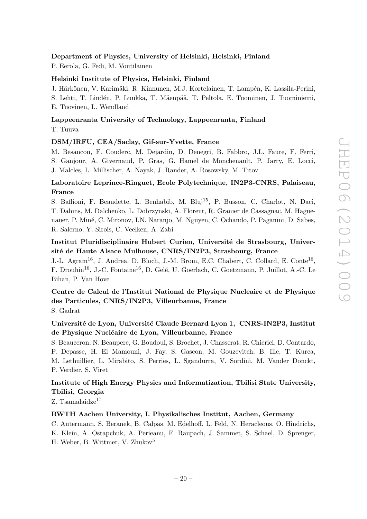### Department of Physics, University of Helsinki, Helsinki, Finland

P. Eerola, G. Fedi, M. Voutilainen

# Helsinki Institute of Physics, Helsinki, Finland

J. Härkönen, V. Karimäki, R. Kinnunen, M.J. Kortelainen, T. Lampén, K. Lassila-Perini,

S. Lehti, T. Lindén, P. Luukka, T. Mäenpää, T. Peltola, E. Tuominen, J. Tuominiemi, E. Tuovinen, L. Wendland

Lappeenranta University of Technology, Lappeenranta, Finland

T. Tuuva

### DSM/IRFU, CEA/Saclay, Gif-sur-Yvette, France

M. Besancon, F. Couderc, M. Dejardin, D. Denegri, B. Fabbro, J.L. Faure, F. Ferri, S. Ganjour, A. Givernaud, P. Gras, G. Hamel de Monchenault, P. Jarry, E. Locci, J. Malcles, L. Millischer, A. Nayak, J. Rander, A. Rosowsky, M. Titov

# Laboratoire Leprince-Ringuet, Ecole Polytechnique, IN2P3-CNRS, Palaiseau, France

S. Baffioni, F. Beaudette, L. Benhabib, M. Bluj15, P. Busson, C. Charlot, N. Daci, T. Dahms, M. Dalchenko, L. Dobrzynski, A. Florent, R. Granier de Cassagnac, M. Haguenauer, P. Min´e, C. Mironov, I.N. Naranjo, M. Nguyen, C. Ochando, P. Paganini, D. Sabes, R. Salerno, Y. Sirois, C. Veelken, A. Zabi

# Institut Pluridisciplinaire Hubert Curien, Université de Strasbourg, Université de Haute Alsace Mulhouse, CNRS/IN2P3, Strasbourg, France

J.-L. Agram<sup>16</sup>, J. Andrea, D. Bloch, J.-M. Brom, E.C. Chabert, C. Collard, E. Conte<sup>16</sup>, F. Drouhin<sup>16</sup>, J.-C. Fontaine<sup>16</sup>, D. Gelé, U. Goerlach, C. Goetzmann, P. Juillot, A.-C. Le Bihan, P. Van Hove

Centre de Calcul de l'Institut National de Physique Nucleaire et de Physique des Particules, CNRS/IN2P3, Villeurbanne, France S. Gadrat

# Université de Lyon, Université Claude Bernard Lyon 1, CNRS-IN2P3, Institut de Physique Nucléaire de Lyon, Villeurbanne, France

S. Beauceron, N. Beaupere, G. Boudoul, S. Brochet, J. Chasserat, R. Chierici, D. Contardo, P. Depasse, H. El Mamouni, J. Fay, S. Gascon, M. Gouzevitch, B. Ille, T. Kurca, M. Lethuillier, L. Mirabito, S. Perries, L. Sgandurra, V. Sordini, M. Vander Donckt, P. Verdier, S. Viret

# Institute of High Energy Physics and Informatization, Tbilisi State University, Tbilisi, Georgia

Z. Tsamalaidze<sup>17</sup>

# RWTH Aachen University, I. Physikalisches Institut, Aachen, Germany

C. Autermann, S. Beranek, B. Calpas, M. Edelhoff, L. Feld, N. Heracleous, O. Hindrichs, K. Klein, A. Ostapchuk, A. Perieanu, F. Raupach, J. Sammet, S. Schael, D. Sprenger, H. Weber, B. Wittmer, V. Zhukov<sup>5</sup>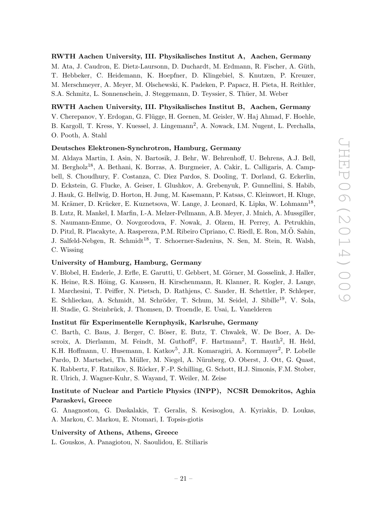# RWTH Aachen University, III. Physikalisches Institut A, Aachen, Germany

M. Ata, J. Caudron, E. Dietz-Laursonn, D. Duchardt, M. Erdmann, R. Fischer, A. Güth, T. Hebbeker, C. Heidemann, K. Hoepfner, D. Klingebiel, S. Knutzen, P. Kreuzer, M. Merschmeyer, A. Meyer, M. Olschewski, K. Padeken, P. Papacz, H. Pieta, H. Reithler, S.A. Schmitz, L. Sonnenschein, J. Steggemann, D. Teyssier, S. Thüer, M. Weber

#### RWTH Aachen University, III. Physikalisches Institut B, Aachen, Germany

V. Cherepanov, Y. Erdogan, G. Flügge, H. Geenen, M. Geisler, W. Haj Ahmad, F. Hoehle, B. Kargoll, T. Kress, Y. Kuessel, J. Lingemann<sup>2</sup>, A. Nowack, I.M. Nugent, L. Perchalla, O. Pooth, A. Stahl

### Deutsches Elektronen-Synchrotron, Hamburg, Germany

M. Aldaya Martin, I. Asin, N. Bartosik, J. Behr, W. Behrenhoff, U. Behrens, A.J. Bell, M. Bergholz18, A. Bethani, K. Borras, A. Burgmeier, A. Cakir, L. Calligaris, A. Campbell, S. Choudhury, F. Costanza, C. Diez Pardos, S. Dooling, T. Dorland, G. Eckerlin, D. Eckstein, G. Flucke, A. Geiser, I. Glushkov, A. Grebenyuk, P. Gunnellini, S. Habib, J. Hauk, G. Hellwig, D. Horton, H. Jung, M. Kasemann, P. Katsas, C. Kleinwort, H. Kluge, M. Krämer, D. Krücker, E. Kuznetsova, W. Lange, J. Leonard, K. Lipka, W. Lohmann<sup>18</sup>, B. Lutz, R. Mankel, I. Marfin, I.-A. Melzer-Pellmann, A.B. Meyer, J. Mnich, A. Mussgiller, S. Naumann-Emme, O. Novgorodova, F. Nowak, J. Olzem, H. Perrey, A. Petrukhin, D. Pitzl, R. Placakyte, A. Raspereza, P.M. Ribeiro Cipriano, C. Riedl, E. Ron, M.O. Sahin, ¨ J. Salfeld-Nebgen, R. Schmidt<sup>18</sup>, T. Schoerner-Sadenius, N. Sen, M. Stein, R. Walsh, C. Wissing

#### University of Hamburg, Hamburg, Germany

V. Blobel, H. Enderle, J. Erfle, E. Garutti, U. Gebbert, M. Görner, M. Gosselink, J. Haller, K. Heine, R.S. Höing, G. Kaussen, H. Kirschenmann, R. Klanner, R. Kogler, J. Lange, I. Marchesini, T. Peiffer, N. Pietsch, D. Rathjens, C. Sander, H. Schettler, P. Schleper, E. Schlieckau, A. Schmidt, M. Schröder, T. Schum, M. Seidel, J. Sibille<sup>19</sup>, V. Sola, H. Stadie, G. Steinbrück, J. Thomsen, D. Troendle, E. Usai, L. Vanelderen

### Institut für Experimentelle Kernphysik, Karlsruhe, Germany

C. Barth, C. Baus, J. Berger, C. Böser, E. Butz, T. Chwalek, W. De Boer, A. Descroix, A. Dierlamm, M. Feindt, M. Guthoff<sup>2</sup>, F. Hartmann<sup>2</sup>, T. Hauth<sup>2</sup>, H. Held, K.H. Hoffmann, U. Husemann, I. Katkov<sup>5</sup>, J.R. Komaragiri, A. Kornmayer<sup>2</sup>, P. Lobelle Pardo, D. Martschei, Th. Müller, M. Niegel, A. Nürnberg, O. Oberst, J. Ott, G. Quast, K. Rabbertz, F. Ratnikov, S. Röcker, F.-P. Schilling, G. Schott, H.J. Simonis, F.M. Stober, R. Ulrich, J. Wagner-Kuhr, S. Wayand, T. Weiler, M. Zeise

# Institute of Nuclear and Particle Physics (INPP), NCSR Demokritos, Aghia Paraskevi, Greece

G. Anagnostou, G. Daskalakis, T. Geralis, S. Kesisoglou, A. Kyriakis, D. Loukas, A. Markou, C. Markou, E. Ntomari, I. Topsis-giotis

### University of Athens, Athens, Greece

L. Gouskos, A. Panagiotou, N. Saoulidou, E. Stiliaris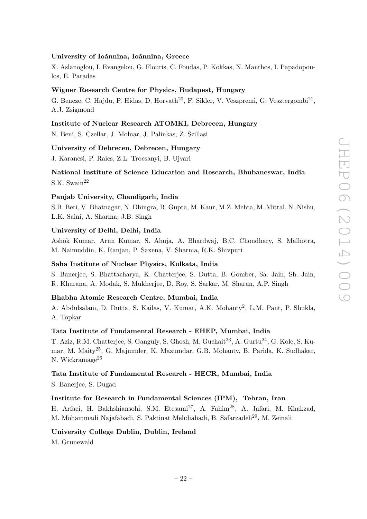### University of Ioánnina, Ioánnina, Greece

X. Aslanoglou, I. Evangelou, G. Flouris, C. Foudas, P. Kokkas, N. Manthos, I. Papadopoulos, E. Paradas

### Wigner Research Centre for Physics, Budapest, Hungary

G. Bencze, C. Hajdu, P. Hidas, D. Horvath<sup>20</sup>, F. Sikler, V. Veszpremi, G. Vesztergombi<sup>21</sup>, A.J. Zsigmond

#### Institute of Nuclear Research ATOMKI, Debrecen, Hungary

N. Beni, S. Czellar, J. Molnar, J. Palinkas, Z. Szillasi

#### University of Debrecen, Debrecen, Hungary

J. Karancsi, P. Raics, Z.L. Trocsanyi, B. Ujvari

# National Institute of Science Education and Research, Bhubaneswar, India S.K. Swain<sup>22</sup>

#### Panjab University, Chandigarh, India

S.B. Beri, V. Bhatnagar, N. Dhingra, R. Gupta, M. Kaur, M.Z. Mehta, M. Mittal, N. Nishu, L.K. Saini, A. Sharma, J.B. Singh

### University of Delhi, Delhi, India

Ashok Kumar, Arun Kumar, S. Ahuja, A. Bhardwaj, B.C. Choudhary, S. Malhotra, M. Naimuddin, K. Ranjan, P. Saxena, V. Sharma, R.K. Shivpuri

#### Saha Institute of Nuclear Physics, Kolkata, India

S. Banerjee, S. Bhattacharya, K. Chatterjee, S. Dutta, B. Gomber, Sa. Jain, Sh. Jain, R. Khurana, A. Modak, S. Mukherjee, D. Roy, S. Sarkar, M. Sharan, A.P. Singh

#### Bhabha Atomic Research Centre, Mumbai, India

A. Abdulsalam, D. Dutta, S. Kailas, V. Kumar, A.K. Mohanty<sup>2</sup>, L.M. Pant, P. Shukla, A. Topkar

### Tata Institute of Fundamental Research - EHEP, Mumbai, India

T. Aziz, R.M. Chatterjee, S. Ganguly, S. Ghosh, M. Guchait<sup>23</sup>, A. Gurtu<sup>24</sup>, G. Kole, S. Kumar, M. Maity25, G. Majumder, K. Mazumdar, G.B. Mohanty, B. Parida, K. Sudhakar, N. Wickramage<sup>26</sup>

# Tata Institute of Fundamental Research - HECR, Mumbai, India

S. Banerjee, S. Dugad

### Institute for Research in Fundamental Sciences (IPM), Tehran, Iran

H. Arfaei, H. Bakhshiansohi, S.M. Etesami27, A. Fahim28, A. Jafari, M. Khakzad, M. Mohammadi Najafabadi, S. Paktinat Mehdiabadi, B. Safarzadeh<sup>29</sup>, M. Zeinali

# University College Dublin, Dublin, Ireland

M. Grunewald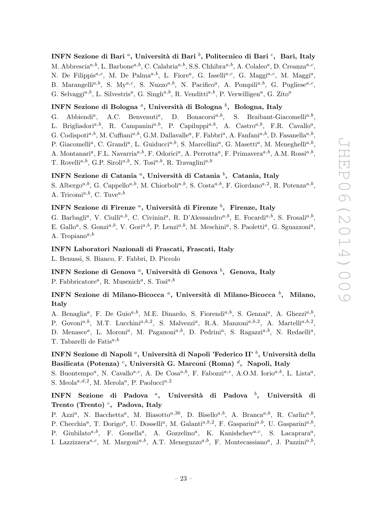# INFN Sezione di Bari <sup>a</sup>, Università di Bari  $^b$ , Politecnico di Bari  $^c$ , Bari, Italy M. Abbrescia<sup>a,b</sup>, L. Barbone<sup>a,b</sup>, C. Calabria<sup>a,b</sup>, S.S. Chhibra<sup>a,b</sup>, A. Colaleo<sup>a</sup>, D. Creanza<sup>a,c</sup>, N. De Filippis<sup>a,c</sup>, M. De Palma<sup>a,b</sup>, L. Fiore<sup>a</sup>, G. Iaselli<sup>a,c</sup>, G. Maggi<sup>a,c</sup>, M. Maggi<sup>a</sup>, B. Marangelli<sup>a,b</sup>, S. My<sup>a,c</sup>, S. Nuzzo<sup>a,b</sup>, N. Pacifico<sup>a</sup>, A. Pompili<sup>a,b</sup>, G. Pugliese<sup>a,c</sup>,

G. Selvaggi<sup>a,b</sup>, L. Silvestris<sup>a</sup>, G. Singh<sup>a,b</sup>, R. Venditti<sup>a,b</sup>, P. Verwilligen<sup>a</sup>, G. Zito<sup>a</sup>

# INFN Sezione di Bologna <sup>a</sup>, Università di Bologna  $^b$ , Bologna, Italy

G. Abbiendi<sup>a</sup>, A.C. Benvenuti<sup>a</sup>, D. Bonacorsi<sup>a,b</sup>, S. Braibant-Giacomelli<sup>a,b</sup>, L. Brigliadori<sup>a,b</sup>, R. Campanini<sup>a,b</sup>, P. Capiluppi<sup>a,b</sup>, A. Castro<sup>a,b</sup>, F.R. Cavallo<sup>a</sup>, G. Codispoti<sup>a,b</sup>, M. Cuffiani<sup>a,b</sup>, G.M. Dallavalle<sup>a</sup>, F. Fabbri<sup>a</sup>, A. Fanfani<sup>a,b</sup>, D. Fasanella<sup>a,b</sup>, P. Giacomelli<sup>a</sup>, C. Grandi<sup>a</sup>, L. Guiducci<sup>a, b</sup>, S. Marcellini<sup>a</sup>, G. Masetti<sup>a</sup>, M. Meneghelli<sup>a, b</sup>, A. Montanari<sup>a</sup>, F.L. Navarria<sup>a,b</sup>, F. Odorici<sup>a</sup>, A. Perrotta<sup>a</sup>, F. Primavera<sup>a,b</sup>, A.M. Rossi<sup>a,b</sup>, T. Rovelli<sup>a,b</sup>, G.P. Siroli<sup>a,b</sup>, N. Tosi<sup>a,b</sup>, R. Travaglini<sup>a,b</sup>

# INFN Sezione di Catania <sup>a</sup>, Università di Catania  $^b$ , Catania, Italy

S. Albergo<sup>a,b</sup>, G. Cappello<sup>a,b</sup>, M. Chiorboli<sup>a,b</sup>, S. Costa<sup>a,b</sup>, F. Giordano<sup>a,2</sup>, R. Potenza<sup>a,b</sup>, A. Tricomi<sup>a,b</sup>, C. Tuve<sup>a,b</sup>

# INFN Sezione di Firenze  $^a,$  Università di Firenze  $^b, \,$  Firenze, Italy

G. Barbagli<sup>a</sup>, V. Ciulli<sup>a,b</sup>, C. Civinini<sup>a</sup>, R. D'Alessandro<sup>a,b</sup>, E. Focardi<sup>a,b</sup>, S. Frosali<sup>a,b</sup>, E. Gallo<sup>a</sup>, S. Gonzi<sup>a,b</sup>, V. Gori<sup>a,b</sup>, P. Lenzi<sup>a,b</sup>, M. Meschini<sup>a</sup>, S. Paoletti<sup>a</sup>, G. Sguazzoni<sup>a</sup>, A. Tropiano $a,b$ 

# INFN Laboratori Nazionali di Frascati, Frascati, Italy

L. Benussi, S. Bianco, F. Fabbri, D. Piccolo

# INFN Sezione di Genova <sup>a</sup>, Università di Genova  $^b$ , Genova, Italy

P. Fabbricatore<sup>*a*</sup>, R. Musenich<sup>*a*</sup>, S. Tosi<sup>*a*,*b*</sup>

# INFN Sezione di Milano-Bicocca <sup>a</sup>, Università di Milano-Bicocca <sup>b</sup>, Milano, Italy

A. Benaglia<sup>a</sup>, F. De Guio<sup>a,b</sup>, M.E. Dinardo, S. Fiorendi<sup>a,b</sup>, S. Gennai<sup>a</sup>, A. Ghezzi<sup>a,b</sup>, P. Govoni<sup>a,b</sup>, M.T. Lucchini<sup>a,b,2</sup>, S. Malvezzi<sup>a</sup>, R.A. Manzoni<sup>a,b,2</sup>, A. Martelli<sup>a,b,2</sup>, D. Menasce<sup>a</sup>, L. Moroni<sup>a</sup>, M. Paganoni<sup>a,b</sup>, D. Pedrini<sup>a</sup>, S. Ragazzi<sup>a,b</sup>, N. Redaelli<sup>a</sup>, T. Tabarelli de Fatis $a,b$ 

# INFN Sezione di Napoli <sup>a</sup>, Università di Napoli 'Federico II'  $^b,$  Università della Basilicata (Potenza)  $^c$ , Università G. Marconi (Roma)  $^d$ , Napoli, Italy

S. Buontempo<sup>a</sup>, N. Cavallo<sup>a,c</sup>, A. De Cosa<sup>a,b</sup>, F. Fabozzi<sup>a,c</sup>, A.O.M. Iorio<sup>a,b</sup>, L. Lista<sup>a</sup>, S. Meola<sup> $a,d,2$ </sup>, M. Merola<sup> $a$ </sup>, P. Paolucci<sup> $a,2$ </sup>

# INFN Sezione di Padova <sup>a</sup>, Università di Padova <sup>b</sup>, Università di  **(Trento)<sup>c</sup>, Padova, Italy**

P. Azzi<sup>a</sup>, N. Bacchetta<sup>a</sup>, M. Biasotto<sup>a, 30</sup>, D. Bisello<sup>a, b</sup>, A. Branca<sup>a, b</sup>, R. Carlin<sup>a, b</sup>, P. Checchia<sup>a</sup>, T. Dorigo<sup>a</sup>, U. Dosselli<sup>a</sup>, M. Galanti<sup>a,b,2</sup>, F. Gasparini<sup>a,b</sup>, U. Gasparini<sup>a,b</sup>, P. Giubilato<sup>a,b</sup>, F. Gonella<sup>a</sup>, A. Gozzelino<sup>a</sup>, K. Kanishchev<sup>a,c</sup>, S. Lacaprara<sup>a</sup>, I. Lazzizzera<sup>a,c</sup>, M. Margoni<sup>a,b</sup>, A.T. Meneguzzo<sup>a,b</sup>, F. Montecassiano<sup>a</sup>, J. Pazzini<sup>a,b</sup>,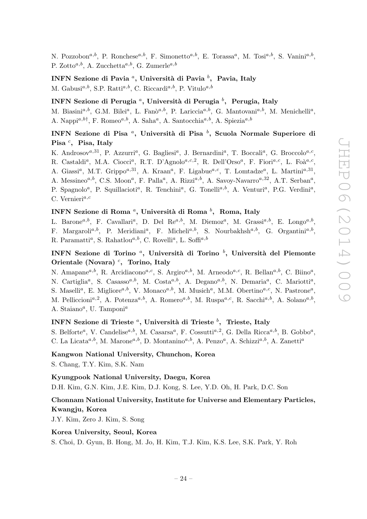N. Pozzobon<sup>a,b</sup>, P. Ronchese<sup>a,b</sup>, F. Simonetto<sup>a,b</sup>, E. Torassa<sup>a</sup>, M. Tosi<sup>a,b</sup>, S. Vanini<sup>a,b</sup>, P. Zotto<sup>a,b</sup>, A. Zucchetta<sup>a,b</sup>, G. Zumerle<sup>a,b</sup>

# INFN Sezione di Pavia  $^a,$  Università di Pavia  $^b, \, \,$  Pavia, Italy

M. Gabusi<sup>a,b</sup>, S.P. Ratti<sup>a,b</sup>, C. Riccardi<sup>a,b</sup>, P. Vitulo<sup>a,b</sup>

# INFN Sezione di Perugia <sup>a</sup>, Università di Perugia  $^b$ , Perugia, Italy

M. Biasini<sup>a,b</sup>, G.M. Bilei<sup>a</sup>, L. Fanò<sup>a,b</sup>, P. Lariccia<sup>a,b</sup>, G. Mantovani<sup>a,b</sup>, M. Menichelli<sup>a</sup>, A. Nappi<sup>a,b†</sup>, F. Romeo<sup>a,b</sup>, A. Saha<sup>a</sup>, A. Santocchia<sup>a,b</sup>, A. Spiezia<sup>a,b</sup>

# INFN Sezione di Pisa <sup>a</sup>, Università di Pisa <sup>b</sup>, Scuola Normale Superiore di  $P$ isa $\degree$ , Pisa, Italy

K. Androsov<sup>a, 31</sup>, P. Azzurri<sup>a</sup>, G. Bagliesi<sup>a</sup>, J. Bernardini<sup>a</sup>, T. Boccali<sup>a</sup>, G. Broccolo<sup>a, c</sup>, R. Castaldi<sup>a</sup>, M.A. Ciocci<sup>a</sup>, R.T. D'Agnolo<sup>a,c,2</sup>, R. Dell'Orso<sup>a</sup>, F. Fiori<sup>a,c</sup>, L. Foà<sup>a,c</sup>, A. Giassi<sup>a</sup>, M.T. Grippo<sup>a,31</sup>, A. Kraan<sup>a</sup>, F. Ligabue<sup>a,c</sup>, T. Lomtadze<sup>a</sup>, L. Martini<sup>a,31</sup>, A. Messineo<sup>a,b</sup>, C.S. Moon<sup>a</sup>, F. Palla<sup>a</sup>, A. Rizzi<sup>a,b</sup>, A. Savoy-Navarro<sup>a,32</sup>, A.T. Serban<sup>a</sup>, P. Spagnolo<sup>a</sup>, P. Squillacioti<sup>a</sup>, R. Tenchini<sup>a</sup>, G. Tonelli<sup>a,b</sup>, A. Venturi<sup>a</sup>, P.G. Verdini<sup>a</sup>, C. Vernieri $^{a,c}$ 

# INFN Sezione di Roma  $^a,$  Università di Roma  $^b, \, \,$  Roma, Italy

L. Barone<sup>a,b</sup>, F. Cavallari<sup>a</sup>, D. Del Re<sup>a,b</sup>, M. Diemoz<sup>a</sup>, M. Grassi<sup>a,b</sup>, E. Longo<sup>a,b</sup>, F. Margaroli<sup>a,b</sup>, P. Meridiani<sup>a</sup>, F. Micheli<sup>a,b</sup>, S. Nourbakhsh<sup>a,b</sup>, G. Organtini<sup>a,b</sup>, R. Paramatti<sup>a</sup>, S. Rahatlou<sup>a,b</sup>, C. Rovelli<sup>a</sup>, L. Soffi<sup>a,b</sup>

# INFN Sezione di Torino <sup>a</sup>, Università di Torino <sup>b</sup>, Università del Piemonte Orientale (Novara)<sup>c</sup>, Torino, Italy

N. Amapane<sup>a,b</sup>, R. Arcidiacono<sup>a,c</sup>, S. Argiro<sup>a,b</sup>, M. Arneodo<sup>a,c</sup>, R. Bellan<sup>a,b</sup>, C. Biino<sup>a</sup>, N. Cartiglia<sup>a</sup>, S. Casasso<sup>a,b</sup>, M. Costa<sup>a,b</sup>, A. Degano<sup>a,b</sup>, N. Demaria<sup>a</sup>, C. Mariotti<sup>a</sup>, S. Maselli<sup>a</sup>, E. Migliore<sup>a,b</sup>, V. Monaco<sup>a,b</sup>, M. Musich<sup>a</sup>, M.M. Obertino<sup>a,c</sup>, N. Pastrone<sup>a</sup>, M. Pelliccioni<sup>a, 2</sup>, A. Potenza<sup>a, b</sup>, A. Romero<sup>a, b</sup>, M. Ruspa<sup>a, c</sup>, R. Sacchi<sup>a, b</sup>, A. Solano<sup>a, b</sup>, A. Staiano<sup>a</sup>, U. Tamponi<sup>a</sup>

# INFN Sezione di Trieste <sup>a</sup>, Università di Trieste  $^b$ , Trieste, Italy

S. Belforte<sup>a</sup>, V. Candelise<sup>a,b</sup>, M. Casarsa<sup>a</sup>, F. Cossutti<sup>a,2</sup>, G. Della Ricca<sup>a,b</sup>, B. Gobbo<sup>a</sup>, C. La Licata<sup>*a*,b</sup>, M. Marone<sup>*a*,b</sup>, D. Montanino<sup>*a*,b</sup>, A. Penzo<sup>*a*</sup>, A. Schizzi<sup>*a*,b</sup>, A. Zanetti<sup>*a*</sup>

### Kangwon National University, Chunchon, Korea

S. Chang, T.Y. Kim, S.K. Nam

# Kyungpook National University, Daegu, Korea

D.H. Kim, G.N. Kim, J.E. Kim, D.J. Kong, S. Lee, Y.D. Oh, H. Park, D.C. Son

# Chonnam National University, Institute for Universe and Elementary Particles, Kwangju, Korea

J.Y. Kim, Zero J. Kim, S. Song

#### Korea University, Seoul, Korea

S. Choi, D. Gyun, B. Hong, M. Jo, H. Kim, T.J. Kim, K.S. Lee, S.K. Park, Y. Roh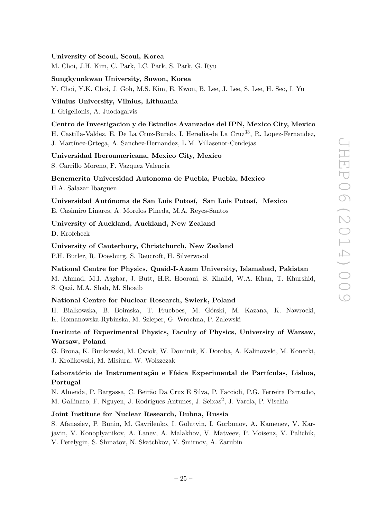### University of Seoul, Seoul, Korea

M. Choi, J.H. Kim, C. Park, I.C. Park, S. Park, G. Ryu

### Sungkyunkwan University, Suwon, Korea

Y. Choi, Y.K. Choi, J. Goh, M.S. Kim, E. Kwon, B. Lee, J. Lee, S. Lee, H. Seo, I. Yu

#### Vilnius University, Vilnius, Lithuania

I. Grigelionis, A. Juodagalvis

# Centro de Investigacion y de Estudios Avanzados del IPN, Mexico City, Mexico

H. Castilla-Valdez, E. De La Cruz-Burelo, I. Heredia-de La Cruz<sup>33</sup>, R. Lopez-Fernandez, J. Mart´ınez-Ortega, A. Sanchez-Hernandez, L.M. Villasenor-Cendejas

# Universidad Iberoamericana, Mexico City, Mexico

S. Carrillo Moreno, F. Vazquez Valencia

Benemerita Universidad Autonoma de Puebla, Puebla, Mexico H.A. Salazar Ibarguen

Universidad Autónoma de San Luis Potosí, San Luis Potosí, Mexico E. Casimiro Linares, A. Morelos Pineda, M.A. Reyes-Santos

University of Auckland, Auckland, New Zealand D. Krofcheck

University of Canterbury, Christchurch, New Zealand P.H. Butler, R. Doesburg, S. Reucroft, H. Silverwood

# National Centre for Physics, Quaid-I-Azam University, Islamabad, Pakistan

M. Ahmad, M.I. Asghar, J. Butt, H.R. Hoorani, S. Khalid, W.A. Khan, T. Khurshid, S. Qazi, M.A. Shah, M. Shoaib

#### National Centre for Nuclear Research, Swierk, Poland

H. Bialkowska, B. Boimska, T. Frueboes, M. G´orski, M. Kazana, K. Nawrocki, K. Romanowska-Rybinska, M. Szleper, G. Wrochna, P. Zalewski

# Institute of Experimental Physics, Faculty of Physics, University of Warsaw, Warsaw, Poland

G. Brona, K. Bunkowski, M. Cwiok, W. Dominik, K. Doroba, A. Kalinowski, M. Konecki, J. Krolikowski, M. Misiura, W. Wolszczak

# Laboratório de Instrumentação e Física Experimental de Partículas, Lisboa, Portugal

N. Almeida, P. Bargassa, C. Beirão Da Cruz E Silva, P. Faccioli, P.G. Ferreira Parracho, M. Gallinaro, F. Nguyen, J. Rodrigues Antunes, J. Seixas<sup>2</sup>, J. Varela, P. Vischia

# Joint Institute for Nuclear Research, Dubna, Russia

S. Afanasiev, P. Bunin, M. Gavrilenko, I. Golutvin, I. Gorbunov, A. Kamenev, V. Karjavin, V. Konoplyanikov, A. Lanev, A. Malakhov, V. Matveev, P. Moisenz, V. Palichik, V. Perelygin, S. Shmatov, N. Skatchkov, V. Smirnov, A. Zarubin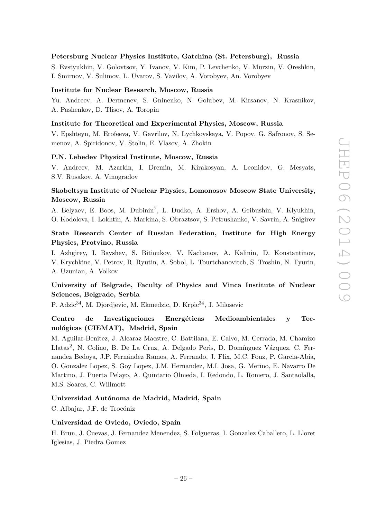### Petersburg Nuclear Physics Institute, Gatchina (St. Petersburg), Russia

S. Evstyukhin, V. Golovtsov, Y. Ivanov, V. Kim, P. Levchenko, V. Murzin, V. Oreshkin, I. Smirnov, V. Sulimov, L. Uvarov, S. Vavilov, A. Vorobyev, An. Vorobyev

#### Institute for Nuclear Research, Moscow, Russia

Yu. Andreev, A. Dermenev, S. Gninenko, N. Golubev, M. Kirsanov, N. Krasnikov, A. Pashenkov, D. Tlisov, A. Toropin

#### Institute for Theoretical and Experimental Physics, Moscow, Russia

V. Epshteyn, M. Erofeeva, V. Gavrilov, N. Lychkovskaya, V. Popov, G. Safronov, S. Semenov, A. Spiridonov, V. Stolin, E. Vlasov, A. Zhokin

#### P.N. Lebedev Physical Institute, Moscow, Russia

V. Andreev, M. Azarkin, I. Dremin, M. Kirakosyan, A. Leonidov, G. Mesyats, S.V. Rusakov, A. Vinogradov

# Skobeltsyn Institute of Nuclear Physics, Lomonosov Moscow State University, Moscow, Russia

A. Belyaev, E. Boos, M. Dubinin<sup>7</sup>, L. Dudko, A. Ershov, A. Gribushin, V. Klyukhin, O. Kodolova, I. Lokhtin, A. Markina, S. Obraztsov, S. Petrushanko, V. Savrin, A. Snigirev

# State Research Center of Russian Federation, Institute for High Energy Physics, Protvino, Russia

I. Azhgirey, I. Bayshev, S. Bitioukov, V. Kachanov, A. Kalinin, D. Konstantinov, V. Krychkine, V. Petrov, R. Ryutin, A. Sobol, L. Tourtchanovitch, S. Troshin, N. Tyurin, A. Uzunian, A. Volkov

# University of Belgrade, Faculty of Physics and Vinca Institute of Nuclear Sciences, Belgrade, Serbia

P. Adzic<sup>34</sup>, M. Djordjevic, M. Ekmedzic, D. Krpic<sup>34</sup>, J. Milosevic

# Centro de Investigaciones Energéticas Medioambientales y Tecnológicas (CIEMAT), Madrid, Spain

M. Aguilar-Benitez, J. Alcaraz Maestre, C. Battilana, E. Calvo, M. Cerrada, M. Chamizo Llatas<sup>2</sup>, N. Colino, B. De La Cruz, A. Delgado Peris, D. Domínguez Vázquez, C. Fernandez Bedoya, J.P. Fernández Ramos, A. Ferrando, J. Flix, M.C. Fouz, P. Garcia-Abia, O. Gonzalez Lopez, S. Goy Lopez, J.M. Hernandez, M.I. Josa, G. Merino, E. Navarro De Martino, J. Puerta Pelayo, A. Quintario Olmeda, I. Redondo, L. Romero, J. Santaolalla, M.S. Soares, C. Willmott

### Universidad Autónoma de Madrid, Madrid, Spain

C. Albajar, J.F. de Trocóniz

# Universidad de Oviedo, Oviedo, Spain

H. Brun, J. Cuevas, J. Fernandez Menendez, S. Folgueras, I. Gonzalez Caballero, L. Lloret Iglesias, J. Piedra Gomez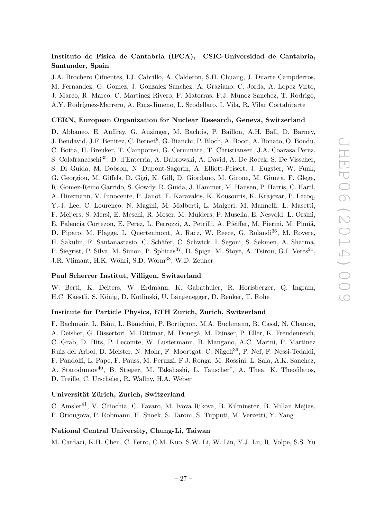# Instituto de Física de Cantabria (IFCA), CSIC-Universidad de Cantabria, Santander, Spain

J.A. Brochero Cifuentes, I.J. Cabrillo, A. Calderon, S.H. Chuang, J. Duarte Campderros, M. Fernandez, G. Gomez, J. Gonzalez Sanchez, A. Graziano, C. Jorda, A. Lopez Virto, J. Marco, R. Marco, C. Martinez Rivero, F. Matorras, F.J. Munoz Sanchez, T. Rodrigo, A.Y. Rodríguez-Marrero, A. Ruiz-Jimeno, L. Scodellaro, I. Vila, R. Vilar Cortabitarte

### CERN, European Organization for Nuclear Research, Geneva, Switzerland

D. Abbaneo, E. Auffray, G. Auzinger, M. Bachtis, P. Baillon, A.H. Ball, D. Barney, J. Bendavid, J.F. Benitez, C. Bernet<sup>8</sup>, G. Bianchi, P. Bloch, A. Bocci, A. Bonato, O. Bondu, C. Botta, H. Breuker, T. Camporesi, G. Cerminara, T. Christiansen, J.A. Coarasa Perez, S. Colafranceschi35, D. d'Enterria, A. Dabrowski, A. David, A. De Roeck, S. De Visscher, S. Di Guida, M. Dobson, N. Dupont-Sagorin, A. Elliott-Peisert, J. Eugster, W. Funk, G. Georgiou, M. Giffels, D. Gigi, K. Gill, D. Giordano, M. Girone, M. Giunta, F. Glege, R. Gomez-Reino Garrido, S. Gowdy, R. Guida, J. Hammer, M. Hansen, P. Harris, C. Hartl, A. Hinzmann, V. Innocente, P. Janot, E. Karavakis, K. Kousouris, K. Krajczar, P. Lecoq, Y.-J. Lee, C. Lourenço, N. Magini, M. Malberti, L. Malgeri, M. Mannelli, L. Masetti, F. Meijers, S. Mersi, E. Meschi, R. Moser, M. Mulders, P. Musella, E. Nesvold, L. Orsini, E. Palencia Cortezon, E. Perez, L. Perrozzi, A. Petrilli, A. Pfeiffer, M. Pierini, M. Pimiä, D. Piparo, M. Plagge, L. Quertenmont, A. Racz, W. Reece, G. Rolandi<sup>36</sup>, M. Rovere, H. Sakulin, F. Santanastasio, C. Schäfer, C. Schwick, I. Segoni, S. Sekmen, A. Sharma, P. Siegrist, P. Silva, M. Simon, P. Sphicas<sup>37</sup>, D. Spiga, M. Stoye, A. Tsirou, G.I. Veres<sup>21</sup>, J.R. Vlimant, H.K. Wöhri, S.D. Worm<sup>38</sup>, W.D. Zeuner

### Paul Scherrer Institut, Villigen, Switzerland

W. Bertl, K. Deiters, W. Erdmann, K. Gabathuler, R. Horisberger, Q. Ingram, H.C. Kaestli, S. König, D. Kotlinski, U. Langenegger, D. Renker, T. Rohe

#### Institute for Particle Physics, ETH Zurich, Zurich, Switzerland

F. Bachmair, L. Bäni, L. Bianchini, P. Bortignon, M.A. Buchmann, B. Casal, N. Chanon, A. Deisher, G. Dissertori, M. Dittmar, M. Donegà, M. Dünser, P. Eller, K. Freudenreich, C. Grab, D. Hits, P. Lecomte, W. Lustermann, B. Mangano, A.C. Marini, P. Martinez Ruiz del Arbol, D. Meister, N. Mohr, F. Moortgat, C. Nägeli<sup>39</sup>, P. Nef, F. Nessi-Tedaldi, F. Pandolfi, L. Pape, F. Pauss, M. Peruzzi, F.J. Ronga, M. Rossini, L. Sala, A.K. Sanchez, A. Starodumov<sup>40</sup>, B. Stieger, M. Takahashi, L. Tauscher<sup>†</sup>, A. Thea, K. Theofilatos, D. Treille, C. Urscheler, R. Wallny, H.A. Weber

### Universität Zürich, Zurich, Switzerland

C. Amsler<sup>41</sup>, V. Chiochia, C. Favaro, M. Ivova Rikova, B. Kilminster, B. Millan Mejias, P. Otiougova, P. Robmann, H. Snoek, S. Taroni, S. Tupputi, M. Verzetti, Y. Yang

### National Central University, Chung-Li, Taiwan

M. Cardaci, K.H. Chen, C. Ferro, C.M. Kuo, S.W. Li, W. Lin, Y.J. Lu, R. Volpe, S.S. Yu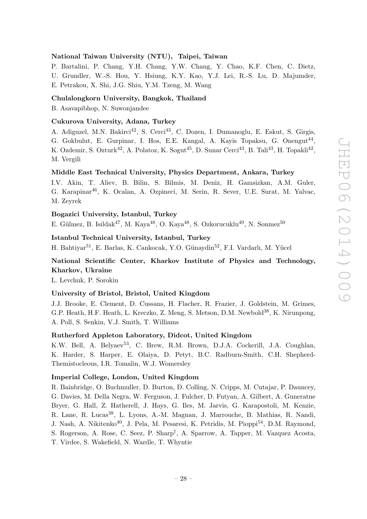### National Taiwan University (NTU), Taipei, Taiwan

P. Bartalini, P. Chang, Y.H. Chang, Y.W. Chang, Y. Chao, K.F. Chen, C. Dietz, U. Grundler, W.-S. Hou, Y. Hsiung, K.Y. Kao, Y.J. Lei, R.-S. Lu, D. Majumder, E. Petrakou, X. Shi, J.G. Shiu, Y.M. Tzeng, M. Wang

### Chulalongkorn University, Bangkok, Thailand

B. Asavapibhop, N. Suwonjandee

# Cukurova University, Adana, Turkey

A. Adiguzel, M.N. Bakirci<sup>42</sup>, S. Cerci<sup>43</sup>, C. Dozen, I. Dumanoglu, E. Eskut, S. Girgis, G. Gokbulut, E. Gurpinar, I. Hos, E.E. Kangal, A. Kayis Topaksu, G. Onengut<sup>44</sup>, K. Ozdemir, S. Ozturk<sup>42</sup>, A. Polatoz, K. Sogut<sup>45</sup>, D. Sunar Cerci<sup>43</sup>, B. Tali<sup>43</sup>, H. Topakli<sup>42</sup>, M. Vergili

## Middle East Technical University, Physics Department, Ankara, Turkey

I.V. Akin, T. Aliev, B. Bilin, S. Bilmis, M. Deniz, H. Gamsizkan, A.M. Guler, G. Karapinar46, K. Ocalan, A. Ozpineci, M. Serin, R. Sever, U.E. Surat, M. Yalvac, M. Zeyrek

# Bogazici University, Istanbul, Turkey

E. Gülmez, B. Isildak<sup>47</sup>, M. Kaya<sup>48</sup>, O. Kaya<sup>48</sup>, S. Ozkorucuklu<sup>49</sup>, N. Sonmez<sup>50</sup>

# Istanbul Technical University, Istanbul, Turkey

H. Bahtiyar<sup>51</sup>, E. Barlas, K. Cankocak, Y.O. Günaydin<sup>52</sup>, F.I. Vardarlı, M. Yücel

# National Scientific Center, Kharkov Institute of Physics and Technology, Kharkov, Ukraine

L. Levchuk, P. Sorokin

### University of Bristol, Bristol, United Kingdom

J.J. Brooke, E. Clement, D. Cussans, H. Flacher, R. Frazier, J. Goldstein, M. Grimes, G.P. Heath, H.F. Heath, L. Kreczko, Z. Meng, S. Metson, D.M. Newbold<sup>38</sup>, K. Nirunpong, A. Poll, S. Senkin, V.J. Smith, T. Williams

# Rutherford Appleton Laboratory, Didcot, United Kingdom

K.W. Bell, A. Belyaev<sup>53</sup>, C. Brew, R.M. Brown, D.J.A. Cockerill, J.A. Coughlan, K. Harder, S. Harper, E. Olaiya, D. Petyt, B.C. Radburn-Smith, C.H. Shepherd-Themistocleous, I.R. Tomalin, W.J. Womersley

# Imperial College, London, United Kingdom

R. Bainbridge, O. Buchmuller, D. Burton, D. Colling, N. Cripps, M. Cutajar, P. Dauncey, G. Davies, M. Della Negra, W. Ferguson, J. Fulcher, D. Futyan, A. Gilbert, A. Guneratne Bryer, G. Hall, Z. Hatherell, J. Hays, G. Iles, M. Jarvis, G. Karapostoli, M. Kenzie, R. Lane, R. Lucas<sup>38</sup>, L. Lyons, A.-M. Magnan, J. Marrouche, B. Mathias, R. Nandi, J. Nash, A. Nikitenko<sup>40</sup>, J. Pela, M. Pesaresi, K. Petridis, M. Pioppi<sup>54</sup>, D.M. Raymond, S. Rogerson, A. Rose, C. Seez, P. Sharp† , A. Sparrow, A. Tapper, M. Vazquez Acosta, T. Virdee, S. Wakefield, N. Wardle, T. Whyntie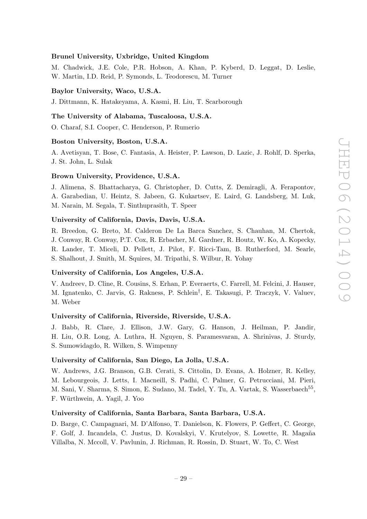### Brunel University, Uxbridge, United Kingdom

M. Chadwick, J.E. Cole, P.R. Hobson, A. Khan, P. Kyberd, D. Leggat, D. Leslie, W. Martin, I.D. Reid, P. Symonds, L. Teodorescu, M. Turner

#### Baylor University, Waco, U.S.A.

J. Dittmann, K. Hatakeyama, A. Kasmi, H. Liu, T. Scarborough

### The University of Alabama, Tuscaloosa, U.S.A.

O. Charaf, S.I. Cooper, C. Henderson, P. Rumerio

#### Boston University, Boston, U.S.A.

A. Avetisyan, T. Bose, C. Fantasia, A. Heister, P. Lawson, D. Lazic, J. Rohlf, D. Sperka, J. St. John, L. Sulak

#### Brown University, Providence, U.S.A.

J. Alimena, S. Bhattacharya, G. Christopher, D. Cutts, Z. Demiragli, A. Ferapontov, A. Garabedian, U. Heintz, S. Jabeen, G. Kukartsev, E. Laird, G. Landsberg, M. Luk, M. Narain, M. Segala, T. Sinthuprasith, T. Speer

# University of California, Davis, Davis, U.S.A.

R. Breedon, G. Breto, M. Calderon De La Barca Sanchez, S. Chauhan, M. Chertok, J. Conway, R. Conway, P.T. Cox, R. Erbacher, M. Gardner, R. Houtz, W. Ko, A. Kopecky, R. Lander, T. Miceli, D. Pellett, J. Pilot, F. Ricci-Tam, B. Rutherford, M. Searle, S. Shalhout, J. Smith, M. Squires, M. Tripathi, S. Wilbur, R. Yohay

# University of California, Los Angeles, U.S.A.

V. Andreev, D. Cline, R. Cousins, S. Erhan, P. Everaerts, C. Farrell, M. Felcini, J. Hauser, M. Ignatenko, C. Jarvis, G. Rakness, P. Schlein† , E. Takasugi, P. Traczyk, V. Valuev, M. Weber

#### University of California, Riverside, Riverside, U.S.A.

J. Babb, R. Clare, J. Ellison, J.W. Gary, G. Hanson, J. Heilman, P. Jandir, H. Liu, O.R. Long, A. Luthra, H. Nguyen, S. Paramesvaran, A. Shrinivas, J. Sturdy, S. Sumowidagdo, R. Wilken, S. Wimpenny

### University of California, San Diego, La Jolla, U.S.A.

W. Andrews, J.G. Branson, G.B. Cerati, S. Cittolin, D. Evans, A. Holzner, R. Kelley, M. Lebourgeois, J. Letts, I. Macneill, S. Padhi, C. Palmer, G. Petrucciani, M. Pieri, M. Sani, V. Sharma, S. Simon, E. Sudano, M. Tadel, Y. Tu, A. Vartak, S. Wasserbaech<sup>55</sup>, F. Würthwein, A. Yagil, J. Yoo

### University of California, Santa Barbara, Santa Barbara, U.S.A.

D. Barge, C. Campagnari, M. D'Alfonso, T. Danielson, K. Flowers, P. Geffert, C. George, F. Golf, J. Incandela, C. Justus, D. Kovalskyi, V. Krutelyov, S. Lowette, R. Magaña Villalba, N. Mccoll, V. Pavlunin, J. Richman, R. Rossin, D. Stuart, W. To, C. West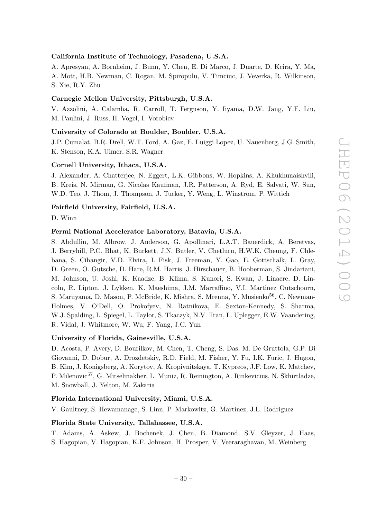# California Institute of Technology, Pasadena, U.S.A.

A. Apresyan, A. Bornheim, J. Bunn, Y. Chen, E. Di Marco, J. Duarte, D. Kcira, Y. Ma, A. Mott, H.B. Newman, C. Rogan, M. Spiropulu, V. Timciuc, J. Veverka, R. Wilkinson, S. Xie, R.Y. Zhu

# Carnegie Mellon University, Pittsburgh, U.S.A.

V. Azzolini, A. Calamba, R. Carroll, T. Ferguson, Y. Iiyama, D.W. Jang, Y.F. Liu, M. Paulini, J. Russ, H. Vogel, I. Vorobiev

# University of Colorado at Boulder, Boulder, U.S.A.

J.P. Cumalat, B.R. Drell, W.T. Ford, A. Gaz, E. Luiggi Lopez, U. Nauenberg, J.G. Smith, K. Stenson, K.A. Ulmer, S.R. Wagner

## Cornell University, Ithaca, U.S.A.

J. Alexander, A. Chatterjee, N. Eggert, L.K. Gibbons, W. Hopkins, A. Khukhunaishvili, B. Kreis, N. Mirman, G. Nicolas Kaufman, J.R. Patterson, A. Ryd, E. Salvati, W. Sun, W.D. Teo, J. Thom, J. Thompson, J. Tucker, Y. Weng, L. Winstrom, P. Wittich

# Fairfield University, Fairfield, U.S.A.

D. Winn

### Fermi National Accelerator Laboratory, Batavia, U.S.A.

S. Abdullin, M. Albrow, J. Anderson, G. Apollinari, L.A.T. Bauerdick, A. Beretvas, J. Berryhill, P.C. Bhat, K. Burkett, J.N. Butler, V. Chetluru, H.W.K. Cheung, F. Chlebana, S. Cihangir, V.D. Elvira, I. Fisk, J. Freeman, Y. Gao, E. Gottschalk, L. Gray, D. Green, O. Gutsche, D. Hare, R.M. Harris, J. Hirschauer, B. Hooberman, S. Jindariani, M. Johnson, U. Joshi, K. Kaadze, B. Klima, S. Kunori, S. Kwan, J. Linacre, D. Lincoln, R. Lipton, J. Lykken, K. Maeshima, J.M. Marraffino, V.I. Martinez Outschoorn, S. Maruyama, D. Mason, P. McBride, K. Mishra, S. Mrenna, Y. Musienko<sup>56</sup>, C. Newman-Holmes, V. O'Dell, O. Prokofyev, N. Ratnikova, E. Sexton-Kennedy, S. Sharma, W.J. Spalding, L. Spiegel, L. Taylor, S. Tkaczyk, N.V. Tran, L. Uplegger, E.W. Vaandering, R. Vidal, J. Whitmore, W. Wu, F. Yang, J.C. Yun

### University of Florida, Gainesville, U.S.A.

D. Acosta, P. Avery, D. Bourilkov, M. Chen, T. Cheng, S. Das, M. De Gruttola, G.P. Di Giovanni, D. Dobur, A. Drozdetskiy, R.D. Field, M. Fisher, Y. Fu, I.K. Furic, J. Hugon, B. Kim, J. Konigsberg, A. Korytov, A. Kropivnitskaya, T. Kypreos, J.F. Low, K. Matchev, P. Milenovic<sup>57</sup>, G. Mitselmakher, L. Muniz, R. Remington, A. Rinkevicius, N. Skhirtladze, M. Snowball, J. Yelton, M. Zakaria

### Florida International University, Miami, U.S.A.

V. Gaultney, S. Hewamanage, S. Linn, P. Markowitz, G. Martinez, J.L. Rodriguez

### Florida State University, Tallahassee, U.S.A.

T. Adams, A. Askew, J. Bochenek, J. Chen, B. Diamond, S.V. Gleyzer, J. Haas, S. Hagopian, V. Hagopian, K.F. Johnson, H. Prosper, V. Veeraraghavan, M. Weinberg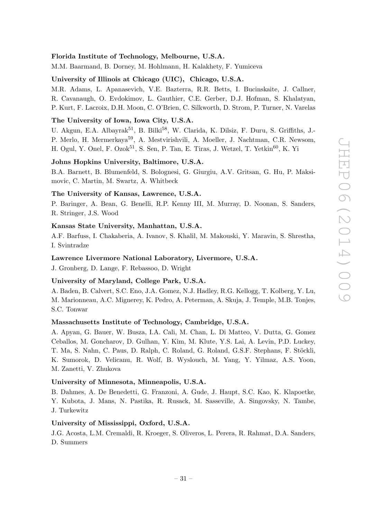### Florida Institute of Technology, Melbourne, U.S.A.

M.M. Baarmand, B. Dorney, M. Hohlmann, H. Kalakhety, F. Yumiceva

### University of Illinois at Chicago (UIC), Chicago, U.S.A.

M.R. Adams, L. Apanasevich, V.E. Bazterra, R.R. Betts, I. Bucinskaite, J. Callner, R. Cavanaugh, O. Evdokimov, L. Gauthier, C.E. Gerber, D.J. Hofman, S. Khalatyan, P. Kurt, F. Lacroix, D.H. Moon, C. O'Brien, C. Silkworth, D. Strom, P. Turner, N. Varelas

### The University of Iowa, Iowa City, U.S.A.

U. Akgun, E.A. Albayrak<sup>51</sup>, B. Bilki<sup>58</sup>, W. Clarida, K. Dilsiz, F. Duru, S. Griffiths, J.-P. Merlo, H. Mermerkaya<sup>59</sup>, A. Mestvirishvili, A. Moeller, J. Nachtman, C.R. Newsom, H. Ogul, Y. Onel, F. Ozok<sup>51</sup>, S. Sen, P. Tan, E. Tiras, J. Wetzel, T. Yetkin<sup>60</sup>, K. Yi

### Johns Hopkins University, Baltimore, U.S.A.

B.A. Barnett, B. Blumenfeld, S. Bolognesi, G. Giurgiu, A.V. Gritsan, G. Hu, P. Maksimovic, C. Martin, M. Swartz, A. Whitbeck

### The University of Kansas, Lawrence, U.S.A.

P. Baringer, A. Bean, G. Benelli, R.P. Kenny III, M. Murray, D. Noonan, S. Sanders, R. Stringer, J.S. Wood

### Kansas State University, Manhattan, U.S.A.

A.F. Barfuss, I. Chakaberia, A. Ivanov, S. Khalil, M. Makouski, Y. Maravin, S. Shrestha, I. Svintradze

### Lawrence Livermore National Laboratory, Livermore, U.S.A.

J. Gronberg, D. Lange, F. Rebassoo, D. Wright

### University of Maryland, College Park, U.S.A.

A. Baden, B. Calvert, S.C. Eno, J.A. Gomez, N.J. Hadley, R.G. Kellogg, T. Kolberg, Y. Lu, M. Marionneau, A.C. Mignerey, K. Pedro, A. Peterman, A. Skuja, J. Temple, M.B. Tonjes, S.C. Tonwar

# Massachusetts Institute of Technology, Cambridge, U.S.A.

A. Apyan, G. Bauer, W. Busza, I.A. Cali, M. Chan, L. Di Matteo, V. Dutta, G. Gomez Ceballos, M. Goncharov, D. Gulhan, Y. Kim, M. Klute, Y.S. Lai, A. Levin, P.D. Luckey, T. Ma, S. Nahn, C. Paus, D. Ralph, C. Roland, G. Roland, G.S.F. Stephans, F. Stöckli, K. Sumorok, D. Velicanu, R. Wolf, B. Wyslouch, M. Yang, Y. Yilmaz, A.S. Yoon, M. Zanetti, V. Zhukova

#### University of Minnesota, Minneapolis, U.S.A.

B. Dahmes, A. De Benedetti, G. Franzoni, A. Gude, J. Haupt, S.C. Kao, K. Klapoetke, Y. Kubota, J. Mans, N. Pastika, R. Rusack, M. Sasseville, A. Singovsky, N. Tambe, J. Turkewitz

# University of Mississippi, Oxford, U.S.A.

J.G. Acosta, L.M. Cremaldi, R. Kroeger, S. Oliveros, L. Perera, R. Rahmat, D.A. Sanders, D. Summers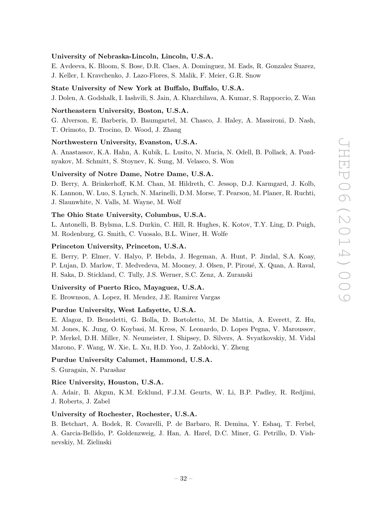### University of Nebraska-Lincoln, Lincoln, U.S.A.

E. Avdeeva, K. Bloom, S. Bose, D.R. Claes, A. Dominguez, M. Eads, R. Gonzalez Suarez, J. Keller, I. Kravchenko, J. Lazo-Flores, S. Malik, F. Meier, G.R. Snow

#### State University of New York at Buffalo, Buffalo, U.S.A.

J. Dolen, A. Godshalk, I. Iashvili, S. Jain, A. Kharchilava, A. Kumar, S. Rappoccio, Z. Wan

### Northeastern University, Boston, U.S.A.

G. Alverson, E. Barberis, D. Baumgartel, M. Chasco, J. Haley, A. Massironi, D. Nash, T. Orimoto, D. Trocino, D. Wood, J. Zhang

#### Northwestern University, Evanston, U.S.A.

A. Anastassov, K.A. Hahn, A. Kubik, L. Lusito, N. Mucia, N. Odell, B. Pollack, A. Pozdnyakov, M. Schmitt, S. Stoynev, K. Sung, M. Velasco, S. Won

### University of Notre Dame, Notre Dame, U.S.A.

D. Berry, A. Brinkerhoff, K.M. Chan, M. Hildreth, C. Jessop, D.J. Karmgard, J. Kolb, K. Lannon, W. Luo, S. Lynch, N. Marinelli, D.M. Morse, T. Pearson, M. Planer, R. Ruchti, J. Slaunwhite, N. Valls, M. Wayne, M. Wolf

### The Ohio State University, Columbus, U.S.A.

L. Antonelli, B. Bylsma, L.S. Durkin, C. Hill, R. Hughes, K. Kotov, T.Y. Ling, D. Puigh, M. Rodenburg, G. Smith, C. Vuosalo, B.L. Winer, H. Wolfe

### Princeton University, Princeton, U.S.A.

E. Berry, P. Elmer, V. Halyo, P. Hebda, J. Hegeman, A. Hunt, P. Jindal, S.A. Koay, P. Lujan, D. Marlow, T. Medvedeva, M. Mooney, J. Olsen, P. Piroué, X. Quan, A. Raval, H. Saka, D. Stickland, C. Tully, J.S. Werner, S.C. Zenz, A. Zuranski

# University of Puerto Rico, Mayaguez, U.S.A.

E. Brownson, A. Lopez, H. Mendez, J.E. Ramirez Vargas

# Purdue University, West Lafayette, U.S.A.

E. Alagoz, D. Benedetti, G. Bolla, D. Bortoletto, M. De Mattia, A. Everett, Z. Hu, M. Jones, K. Jung, O. Koybasi, M. Kress, N. Leonardo, D. Lopes Pegna, V. Maroussov, P. Merkel, D.H. Miller, N. Neumeister, I. Shipsey, D. Silvers, A. Svyatkovskiy, M. Vidal Marono, F. Wang, W. Xie, L. Xu, H.D. Yoo, J. Zablocki, Y. Zheng

### Purdue University Calumet, Hammond, U.S.A.

S. Guragain, N. Parashar

### Rice University, Houston, U.S.A.

A. Adair, B. Akgun, K.M. Ecklund, F.J.M. Geurts, W. Li, B.P. Padley, R. Redjimi, J. Roberts, J. Zabel

# University of Rochester, Rochester, U.S.A.

B. Betchart, A. Bodek, R. Covarelli, P. de Barbaro, R. Demina, Y. Eshaq, T. Ferbel, A. Garcia-Bellido, P. Goldenzweig, J. Han, A. Harel, D.C. Miner, G. Petrillo, D. Vishnevskiy, M. Zielinski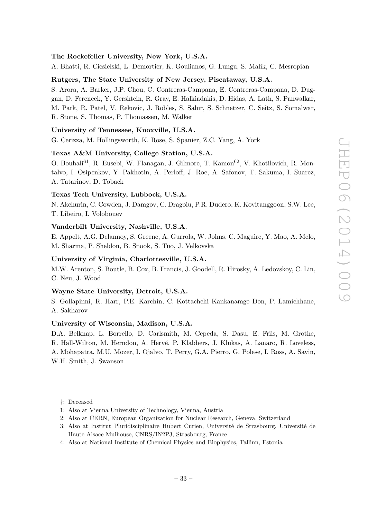### The Rockefeller University, New York, U.S.A.

A. Bhatti, R. Ciesielski, L. Demortier, K. Goulianos, G. Lungu, S. Malik, C. Mesropian

### Rutgers, The State University of New Jersey, Piscataway, U.S.A.

S. Arora, A. Barker, J.P. Chou, C. Contreras-Campana, E. Contreras-Campana, D. Duggan, D. Ferencek, Y. Gershtein, R. Gray, E. Halkiadakis, D. Hidas, A. Lath, S. Panwalkar, M. Park, R. Patel, V. Rekovic, J. Robles, S. Salur, S. Schnetzer, C. Seitz, S. Somalwar, R. Stone, S. Thomas, P. Thomassen, M. Walker

### University of Tennessee, Knoxville, U.S.A.

G. Cerizza, M. Hollingsworth, K. Rose, S. Spanier, Z.C. Yang, A. York

# Texas A&M University, College Station, U.S.A.

O. Bouhali<sup>61</sup>, R. Eusebi, W. Flanagan, J. Gilmore, T. Kamon<sup>62</sup>, V. Khotilovich, R. Montalvo, I. Osipenkov, Y. Pakhotin, A. Perloff, J. Roe, A. Safonov, T. Sakuma, I. Suarez, A. Tatarinov, D. Toback

#### Texas Tech University, Lubbock, U.S.A.

N. Akchurin, C. Cowden, J. Damgov, C. Dragoiu, P.R. Dudero, K. Kovitanggoon, S.W. Lee, T. Libeiro, I. Volobouev

#### Vanderbilt University, Nashville, U.S.A.

E. Appelt, A.G. Delannoy, S. Greene, A. Gurrola, W. Johns, C. Maguire, Y. Mao, A. Melo, M. Sharma, P. Sheldon, B. Snook, S. Tuo, J. Velkovska

# University of Virginia, Charlottesville, U.S.A.

M.W. Arenton, S. Boutle, B. Cox, B. Francis, J. Goodell, R. Hirosky, A. Ledovskoy, C. Lin, C. Neu, J. Wood

### Wayne State University, Detroit, U.S.A.

S. Gollapinni, R. Harr, P.E. Karchin, C. Kottachchi Kankanamge Don, P. Lamichhane, A. Sakharov

## University of Wisconsin, Madison, U.S.A.

D.A. Belknap, L. Borrello, D. Carlsmith, M. Cepeda, S. Dasu, E. Friis, M. Grothe, R. Hall-Wilton, M. Herndon, A. Hervé, P. Klabbers, J. Klukas, A. Lanaro, R. Loveless, A. Mohapatra, M.U. Mozer, I. Ojalvo, T. Perry, G.A. Pierro, G. Polese, I. Ross, A. Savin, W.H. Smith, J. Swanson

- 1: Also at Vienna University of Technology, Vienna, Austria
- 2: Also at CERN, European Organization for Nuclear Research, Geneva, Switzerland
- 3: Also at Institut Pluridisciplinaire Hubert Curien, Université de Strasbourg, Université de Haute Alsace Mulhouse, CNRS/IN2P3, Strasbourg, France
- 4: Also at National Institute of Chemical Physics and Biophysics, Tallinn, Estonia

<sup>†</sup>: Deceased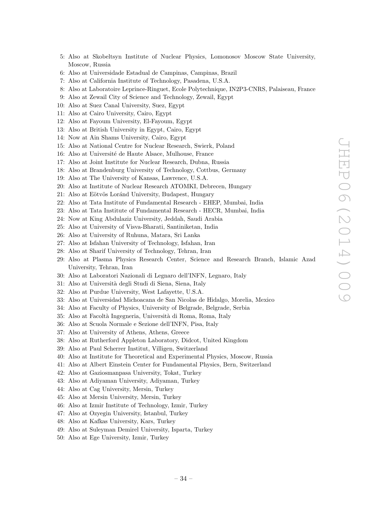- 5: Also at Skobeltsyn Institute of Nuclear Physics, Lomonosov Moscow State University, Moscow, Russia
- 6: Also at Universidade Estadual de Campinas, Campinas, Brazil
- 7: Also at California Institute of Technology, Pasadena, U.S.A.
- 8: Also at Laboratoire Leprince-Ringuet, Ecole Polytechnique, IN2P3-CNRS, Palaiseau, France
- 9: Also at Zewail City of Science and Technology, Zewail, Egypt
- 10: Also at Suez Canal University, Suez, Egypt
- 11: Also at Cairo University, Cairo, Egypt
- 12: Also at Fayoum University, El-Fayoum, Egypt
- 13: Also at British University in Egypt, Cairo, Egypt
- 14: Now at Ain Shams University, Cairo, Egypt
- 15: Also at National Centre for Nuclear Research, Swierk, Poland
- 16: Also at Université de Haute Alsace, Mulhouse, France
- 17: Also at Joint Institute for Nuclear Research, Dubna, Russia
- 18: Also at Brandenburg University of Technology, Cottbus, Germany
- 19: Also at The University of Kansas, Lawrence, U.S.A.
- 20: Also at Institute of Nuclear Research ATOMKI, Debrecen, Hungary
- 21: Also at Eötvös Loránd University, Budapest, Hungary
- 22: Also at Tata Institute of Fundamental Research EHEP, Mumbai, India
- 23: Also at Tata Institute of Fundamental Research HECR, Mumbai, India
- 24: Now at King Abdulaziz University, Jeddah, Saudi Arabia
- 25: Also at University of Visva-Bharati, Santiniketan, India
- 26: Also at University of Ruhuna, Matara, Sri Lanka
- 27: Also at Isfahan University of Technology, Isfahan, Iran
- 28: Also at Sharif University of Technology, Tehran, Iran
- 29: Also at Plasma Physics Research Center, Science and Research Branch, Islamic Azad University, Tehran, Iran
- 30: Also at Laboratori Nazionali di Legnaro dell'INFN, Legnaro, Italy
- 31: Also at Universit`a degli Studi di Siena, Siena, Italy
- 32: Also at Purdue University, West Lafayette, U.S.A.
- 33: Also at Universidad Michoacana de San Nicolas de Hidalgo, Morelia, Mexico
- 34: Also at Faculty of Physics, University of Belgrade, Belgrade, Serbia
- 35: Also at Facoltà Ingegneria, Università di Roma, Roma, Italy
- 36: Also at Scuola Normale e Sezione dell'INFN, Pisa, Italy
- 37: Also at University of Athens, Athens, Greece
- 38: Also at Rutherford Appleton Laboratory, Didcot, United Kingdom
- 39: Also at Paul Scherrer Institut, Villigen, Switzerland
- 40: Also at Institute for Theoretical and Experimental Physics, Moscow, Russia
- 41: Also at Albert Einstein Center for Fundamental Physics, Bern, Switzerland
- 42: Also at Gaziosmanpasa University, Tokat, Turkey
- 43: Also at Adiyaman University, Adiyaman, Turkey
- 44: Also at Cag University, Mersin, Turkey
- 45: Also at Mersin University, Mersin, Turkey
- 46: Also at Izmir Institute of Technology, Izmir, Turkey
- 47: Also at Ozyegin University, Istanbul, Turkey
- 48: Also at Kafkas University, Kars, Turkey
- 49: Also at Suleyman Demirel University, Isparta, Turkey
- 50: Also at Ege University, Izmir, Turkey